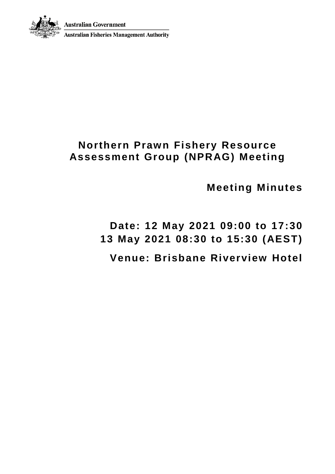



**Australian Fisheries Management Authority** 

## **Northern Prawn Fishery Resource Assessment Group (NPRAG) Meeting**

**Meeting Minutes**

**Date: 12 May 2021 09:00 to 17:30 13 May 2021 08:30 to 15:30 (AEST) Venue: Brisbane Riverview Hotel**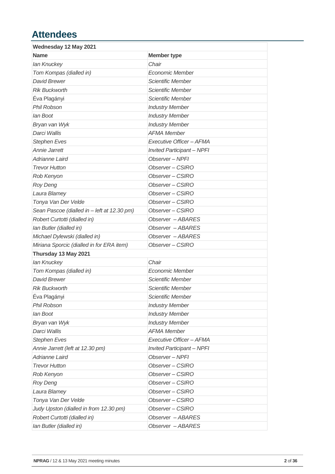## **Attendees**

| <b>Member type</b>                |
|-----------------------------------|
| Chair                             |
| <b>Economic Member</b>            |
| <b>Scientific Member</b>          |
| Scientific Member                 |
| Scientific Member                 |
| <b>Industry Member</b>            |
| <b>Industry Member</b>            |
| <b>Industry Member</b>            |
| <b>AFMA Member</b>                |
| Executive Officer - AFMA          |
| <b>Invited Participant - NPFI</b> |
| Observer - NPFI                   |
| Observer - CSIRO                  |
| Observer - CSIRO                  |
| Observer-CSIRO                    |
| Observer - CSIRO                  |
| Observer - CSIRO                  |
| Observer-CSIRO                    |
| Observer - ABARES                 |
| Observer - ABARES                 |
| Observer - ABARES                 |
| Observer - CSIRO                  |
|                                   |
| Chair                             |
| Economic Member                   |
| <b>Scientific Member</b>          |
| Scientific Member                 |
| Scientific Member                 |
| <b>Industry Member</b>            |
| <b>Industry Member</b>            |
| <b>Industry Member</b>            |
| <b>AFMA Member</b>                |
| Executive Officer - AFMA          |
| <b>Invited Participant - NPFI</b> |
| Observer-NPFI                     |
| Observer-CSIRO                    |
| Observer-CSIRO                    |
| Observer-CSIRO                    |
| Observer-CSIRO                    |
| Observer-CSIRO                    |
| Observer-CSIRO                    |
| Observer - ABARES                 |
| Observer - ABARES                 |
|                                   |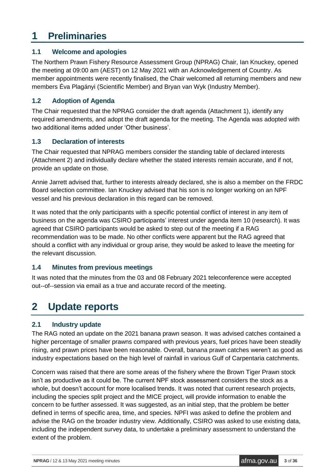## **1 Preliminaries**

#### **1.1 Welcome and apologies**

The Northern Prawn Fishery Resource Assessment Group (NPRAG) Chair, Ian Knuckey, opened the meeting at 09:00 am (AEST) on 12 May 2021 with an Acknowledgement of Country. As member appointments were recently finalised, the Chair welcomed all returning members and new members Éva Plagányi (Scientific Member) and Bryan van Wyk (Industry Member).

#### **1.2 Adoption of Agenda**

The Chair requested that the NPRAG consider the draft agenda (Attachment 1), identify any required amendments, and adopt the draft agenda for the meeting. The Agenda was adopted with two additional items added under 'Other business'.

#### **1.3 Declaration of interests**

The Chair requested that NPRAG members consider the standing table of declared interests (Attachment 2) and individually declare whether the stated interests remain accurate, and if not, provide an update on those.

Annie Jarrett advised that, further to interests already declared, she is also a member on the FRDC Board selection committee. Ian Knuckey advised that his son is no longer working on an NPF vessel and his previous declaration in this regard can be removed.

It was noted that the only participants with a specific potential conflict of interest in any item of business on the agenda was CSIRO participants' interest under agenda item 10 (research). It was agreed that CSIRO participants would be asked to step out of the meeting if a RAG recommendation was to be made. No other conflicts were apparent but the RAG agreed that should a conflict with any individual or group arise, they would be asked to leave the meeting for the relevant discussion.

#### **1.4 Minutes from previous meetings**

It was noted that the minutes from the 03 and 08 February 2021 teleconference were accepted out--of--session via email as a true and accurate record of the meeting.

## **2 Update reports**

### **2.1 Industry update**

The RAG noted an update on the 2021 banana prawn season. It was advised catches contained a higher percentage of smaller prawns compared with previous years, fuel prices have been steadily rising, and prawn prices have been reasonable. Overall, banana prawn catches weren't as good as industry expectations based on the high level of rainfall in various Gulf of Carpentaria catchments.

Concern was raised that there are some areas of the fishery where the Brown Tiger Prawn stock isn't as productive as it could be. The current NPF stock assessment considers the stock as a whole, but doesn't account for more localised trends. It was noted that current research projects, including the species split project and the MICE project, will provide information to enable the concern to be further assessed. It was suggested, as an initial step, that the problem be better defined in terms of specific area, time, and species. NPFI was asked to define the problem and advise the RAG on the broader industry view. Additionally, CSIRO was asked to use existing data, including the independent survey data, to undertake a preliminary assessment to understand the extent of the problem.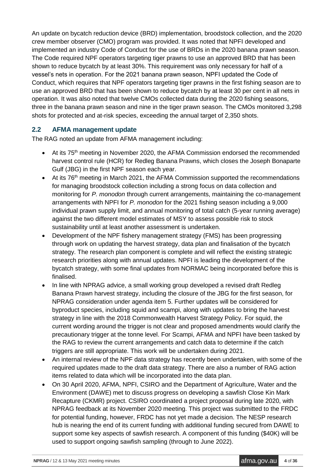An update on bycatch reduction device (BRD) implementation, broodstock collection, and the 2020 crew member observer (CMO) program was provided. It was noted that NPFI developed and implemented an industry Code of Conduct for the use of BRDs in the 2020 banana prawn season. The Code required NPF operators targeting tiger prawns to use an approved BRD that has been shown to reduce bycatch by at least 30%. This requirement was only necessary for half of a vessel's nets in operation. For the 2021 banana prawn season, NPFI updated the Code of Conduct, which requires that NPF operators targeting tiger prawns in the first fishing season are to use an approved BRD that has been shown to reduce bycatch by at least 30 per cent in all nets in operation. It was also noted that twelve CMOs collected data during the 2020 fishing seasons, three in the banana prawn season and nine in the tiger prawn season. The CMOs monitored 3,298 shots for protected and at-risk species, exceeding the annual target of 2,350 shots.

#### **2.2 AFMA management update**

The RAG noted an update from AFMA management including:

- At its 75<sup>th</sup> meeting in November 2020, the AFMA Commission endorsed the recommended harvest control rule (HCR) for Redleg Banana Prawns, which closes the Joseph Bonaparte Gulf (JBG) in the first NPF season each year.
- At its 76<sup>th</sup> meeting in March 2021, the AFMA Commission supported the recommendations for managing broodstock collection including a strong focus on data collection and monitoring for *P. monodon* through current arrangements, maintaining the co-management arrangements with NPFI for *P. monodon* for the 2021 fishing season including a 9,000 individual prawn supply limit, and annual monitoring of total catch (5-year running average) against the two different model estimates of MSY to assess possible risk to stock sustainability until at least another assessment is undertaken.
- Development of the NPF fishery management strategy (FMS) has been progressing through work on updating the harvest strategy, data plan and finalisation of the bycatch strategy. The research plan component is complete and will reflect the existing strategic research priorities along with annual updates. NPFI is leading the development of the bycatch strategy, with some final updates from NORMAC being incorporated before this is finalised.
- In line with NPRAG advice, a small working group developed a revised draft Redleg Banana Prawn harvest strategy, including the closure of the JBG for the first season, for NPRAG consideration under agenda item 5. Further updates will be considered for byproduct species, including squid and scampi, along with updates to bring the harvest strategy in line with the 2018 Commonwealth Harvest Strategy Policy. For squid, the current wording around the trigger is not clear and proposed amendments would clarify the precautionary trigger at the tonne level. For Scampi, AFMA and NPFI have been tasked by the RAG to review the current arrangements and catch data to determine if the catch triggers are still appropriate. This work will be undertaken during 2021.
- An internal review of the NPF data strategy has recently been undertaken, with some of the required updates made to the draft data strategy. There are also a number of RAG action items related to data which will be incorporated into the data plan.
- On 30 April 2020, AFMA, NPFI, CSIRO and the Department of Agriculture, Water and the Environment (DAWE) met to discuss progress on developing a sawfish Close Kin Mark Recapture (CKMR) project. CSIRO coordinated a project proposal during late 2020, with NPRAG feedback at its November 2020 meeting. This project was submitted to the FRDC for potential funding, however, FRDC has not yet made a decision. The NESP research hub is nearing the end of its current funding with additional funding secured from DAWE to support some key aspects of sawfish research. A component of this funding (\$40K) will be used to support ongoing sawfish sampling (through to June 2022).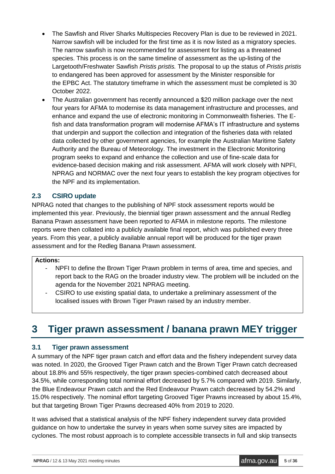- The Sawfish and River Sharks Multispecies Recovery Plan is due to be reviewed in 2021. Narrow sawfish will be included for the first time as it is now listed as a migratory species. The narrow sawfish is now recommended for assessment for listing as a threatened species. This process is on the same timeline of assessment as the up-listing of the Largetooth/Freshwater Sawfish *Pristis pristis.* The proposal to up the status of *Pristis pristis* to endangered has been approved for assessment by the Minister responsible for the EPBC Act. The statutory timeframe in which the assessment must be completed is 30 October 2022.
- The Australian government has recently announced a \$20 million package over the next four years for AFMA to modernise its data management infrastructure and processes, and enhance and expand the use of electronic monitoring in Commonwealth fisheries. The Efish and data transformation program will modernise AFMA's IT infrastructure and systems that underpin and support the collection and integration of the fisheries data with related data collected by other government agencies, for example the Australian Maritime Safety Authority and the Bureau of Meteorology. The investment in the Electronic Monitoring program seeks to expand and enhance the collection and use of fine-scale data for evidence-based decision making and risk assessment. AFMA will work closely with NPFI, NPRAG and NORMAC over the next four years to establish the key program objectives for the NPF and its implementation.

#### **2.3 CSIRO update**

NPRAG noted that changes to the publishing of NPF stock assessment reports would be implemented this year. Previously, the biennial tiger prawn assessment and the annual Redleg Banana Prawn assessment have been reported to AFMA in milestone reports. The milestone reports were then collated into a publicly available final report, which was published every three years. From this year, a publicly available annual report will be produced for the tiger prawn assessment and for the Redleg Banana Prawn assessment.

#### **Actions:**

- NPFI to define the Brown Tiger Prawn problem in terms of area, time and species, and report back to the RAG on the broader industry view. The problem will be included on the agenda for the November 2021 NPRAG meeting.
- CSIRO to use existing spatial data, to undertake a preliminary assessment of the localised issues with Brown Tiger Prawn raised by an industry member.

## **3 Tiger prawn assessment / banana prawn MEY trigger**

#### **3.1 Tiger prawn assessment**

A summary of the NPF tiger prawn catch and effort data and the fishery independent survey data was noted. In 2020, the Grooved Tiger Prawn catch and the Brown Tiger Prawn catch decreased about 18.8% and 55% respectively, the tiger prawn species-combined catch decreased about 34.5%, while corresponding total nominal effort decreased by 5.7% compared with 2019. Similarly, the Blue Endeavour Prawn catch and the Red Endeavour Prawn catch decreased by 54.2% and 15.0% respectively. The nominal effort targeting Grooved Tiger Prawns increased by about 15.4%, but that targeting Brown Tiger Prawns decreased 40% from 2019 to 2020.

It was advised that a statistical analysis of the NPF fishery independent survey data provided guidance on how to undertake the survey in years when some survey sites are impacted by cyclones. The most robust approach is to complete accessible transects in full and skip transects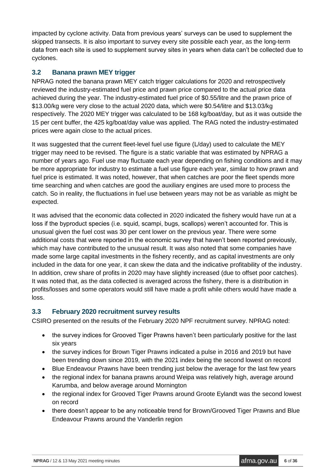impacted by cyclone activity. Data from previous years' surveys can be used to supplement the skipped transects. It is also important to survey every site possible each year, as the long-term data from each site is used to supplement survey sites in years when data can't be collected due to cyclones.

### **3.2 Banana prawn MEY trigger**

NPRAG noted the banana prawn MEY catch trigger calculations for 2020 and retrospectively reviewed the industry-estimated fuel price and prawn price compared to the actual price data achieved during the year. The industry-estimated fuel price of \$0.55/litre and the prawn price of \$13.00/kg were very close to the actual 2020 data, which were \$0.54/litre and \$13.03/kg respectively. The 2020 MEY trigger was calculated to be 168 kg/boat/day, but as it was outside the 15 per cent buffer, the 425 kg/boat/day value was applied. The RAG noted the industry-estimated prices were again close to the actual prices.

It was suggested that the current fleet-level fuel use figure (L/day) used to calculate the MEY trigger may need to be revised. The figure is a static variable that was estimated by NPRAG a number of years ago. Fuel use may fluctuate each year depending on fishing conditions and it may be more appropriate for industry to estimate a fuel use figure each year, similar to how prawn and fuel price is estimated. It was noted, however, that when catches are poor the fleet spends more time searching and when catches are good the auxiliary engines are used more to process the catch. So in reality, the fluctuations in fuel use between years may not be as variable as might be expected.

It was advised that the economic data collected in 2020 indicated the fishery would have run at a loss if the byproduct species (i.e. squid, scampi, bugs, scallops) weren't accounted for. This is unusual given the fuel cost was 30 per cent lower on the previous year. There were some additional costs that were reported in the economic survey that haven't been reported previously, which may have contributed to the unusual result. It was also noted that some companies have made some large capital investments in the fishery recently, and as capital investments are only included in the data for one year, it can skew the data and the indicative profitability of the industry. In addition, crew share of profits in 2020 may have slightly increased (due to offset poor catches). It was noted that, as the data collected is averaged across the fishery, there is a distribution in profits/losses and some operators would still have made a profit while others would have made a loss.

#### **3.3 February 2020 recruitment survey results**

CSIRO presented on the results of the February 2020 NPF recruitment survey. NPRAG noted:

- the survey indices for Grooved Tiger Prawns haven't been particularly positive for the last six years
- the survey indices for Brown Tiger Prawns indicated a pulse in 2016 and 2019 but have been trending down since 2019, with the 2021 index being the second lowest on record
- Blue Endeavour Prawns have been trending just below the average for the last few years
- the regional index for banana prawns around Weipa was relatively high, average around Karumba, and below average around Mornington
- the regional index for Grooved Tiger Prawns around Groote Eylandt was the second lowest on record
- there doesn't appear to be any noticeable trend for Brown/Grooved Tiger Prawns and Blue Endeavour Prawns around the Vanderlin region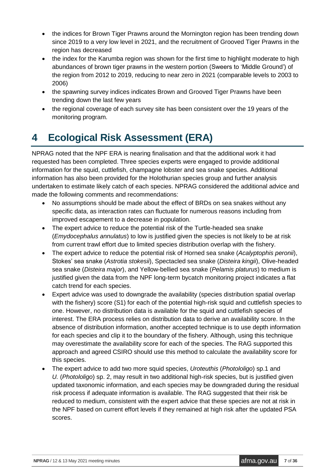- the indices for Brown Tiger Prawns around the Mornington region has been trending down since 2019 to a very low level in 2021, and the recruitment of Grooved Tiger Prawns in the region has decreased
- the index for the Karumba region was shown for the first time to highlight moderate to high abundances of brown tiger prawns in the western portion (Sweers to 'Middle Ground') of the region from 2012 to 2019, reducing to near zero in 2021 (comparable levels to 2003 to 2006)
- the spawning survey indices indicates Brown and Grooved Tiger Prawns have been trending down the last few years
- the regional coverage of each survey site has been consistent over the 19 years of the monitoring program.

# **4 Ecological Risk Assessment (ERA)**

NPRAG noted that the NPF ERA is nearing finalisation and that the additional work it had requested has been completed. Three species experts were engaged to provide additional information for the squid, cuttlefish, champagne lobster and sea snake species. Additional information has also been provided for the Holothurian species group and further analysis undertaken to estimate likely catch of each species. NPRAG considered the additional advice and made the following comments and recommendations:

- No assumptions should be made about the effect of BRDs on sea snakes without any specific data, as interaction rates can fluctuate for numerous reasons including from improved escapement to a decrease in population.
- The expert advice to reduce the potential risk of the Turtle-headed sea snake (*Emydocephalus annulatus*) to low is justified given the species is not likely to be at risk from current trawl effort due to limited species distribution overlap with the fishery.
- The expert advice to reduce the potential risk of Horned sea snake (*Acalyptophis peronii*), Stokes' sea snake (*Astrotia stokesii*), Spectacled sea snake (*Disteira kingii*), Olive-headed sea snake (*Disteira major*), and Yellow-bellied sea snake (*Pelamis platurus*) to medium is justified given the data from the NPF long-term bycatch monitoring project indicates a flat catch trend for each species.
- Expert advice was used to downgrade the availability (species distribution spatial overlap with the fishery) score (S1) for each of the potential high-risk squid and cuttlefish species to one. However, no distribution data is available for the squid and cuttlefish species of interest. The ERA process relies on distribution data to derive an availability score. In the absence of distribution information, another accepted technique is to use depth information for each species and clip it to the boundary of the fishery. Although, using this technique may overestimate the availability score for each of the species. The RAG supported this approach and agreed CSIRO should use this method to calculate the availability score for this species.
- The expert advice to add two more squid species, *Uroteuthis* (*Photololigo*) sp.1 and *U.* (*Photololigo*) sp. 2, may result in two additional high-risk species, but is justified given updated taxonomic information, and each species may be downgraded during the residual risk process if adequate information is available. The RAG suggested that their risk be reduced to medium, consistent with the expert advice that these species are not at risk in the NPF based on current effort levels if they remained at high risk after the updated PSA scores.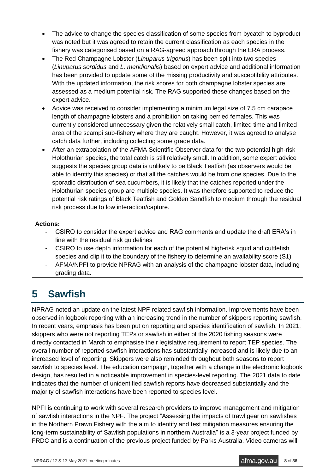- The advice to change the species classification of some species from bycatch to byproduct was noted but it was agreed to retain the current classification as each species in the fishery was categorised based on a RAG-agreed approach through the ERA process.
- The Red Champagne Lobster (*Linuparus trigonus*) has been split into two species (*Linuparus sordidus* and *L. meridionalis*) based on expert advice and additional information has been provided to update some of the missing productivity and susceptibility attributes. With the updated information, the risk scores for both champagne lobster species are assessed as a medium potential risk. The RAG supported these changes based on the expert advice.
- Advice was received to consider implementing a minimum legal size of 7.5 cm carapace length of champagne lobsters and a prohibition on taking berried females. This was currently considered unnecessary given the relatively small catch, limited time and limited area of the scampi sub-fishery where they are caught. However, it was agreed to analyse catch data further, including collecting some grade data.
- After an extrapolation of the AFMA Scientific Observer data for the two potential high-risk Holothurian species, the total catch is still relatively small. In addition, some expert advice suggests the species group data is unlikely to be Black Teatfish (as observers would be able to identify this species) or that all the catches would be from one species. Due to the sporadic distribution of sea cucumbers, it is likely that the catches reported under the Holothurian species group are multiple species. It was therefore supported to reduce the potential risk ratings of Black Teatfish and Golden Sandfish to medium through the residual risk process due to low interaction/capture.

#### **Actions:**

- CSIRO to consider the expert advice and RAG comments and update the draft ERA's in line with the residual risk guidelines
- CSIRO to use depth information for each of the potential high-risk squid and cuttlefish species and clip it to the boundary of the fishery to determine an availability score (S1)
- AFMA/NPFI to provide NPRAG with an analysis of the champagne lobster data, including grading data.

## **5 Sawfish**

NPRAG noted an update on the latest NPF-related sawfish information. Improvements have been observed in logbook reporting with an increasing trend in the number of skippers reporting sawfish. In recent years, emphasis has been put on reporting and species identification of sawfish. In 2021, skippers who were not reporting TEPs or sawfish in either of the 2020 fishing seasons were directly contacted in March to emphasise their legislative requirement to report TEP species. The overall number of reported sawfish interactions has substantially increased and is likely due to an increased level of reporting. Skippers were also reminded throughout both seasons to report sawfish to species level. The education campaign, together with a change in the electronic logbook design, has resulted in a noticeable improvement in species-level reporting. The 2021 data to date indicates that the number of unidentified sawfish reports have decreased substantially and the majority of sawfish interactions have been reported to species level.

NPFI is continuing to work with several research providers to improve management and mitigation of sawfish interactions in the NPF. The project "Assessing the impacts of trawl gear on sawfishes in the Northern Prawn Fishery with the aim to identify and test mitigation measures ensuring the long-term sustainability of Sawfish populations in northern Australia" is a 3-year project funded by FRDC and is a continuation of the previous project funded by Parks Australia. Video cameras will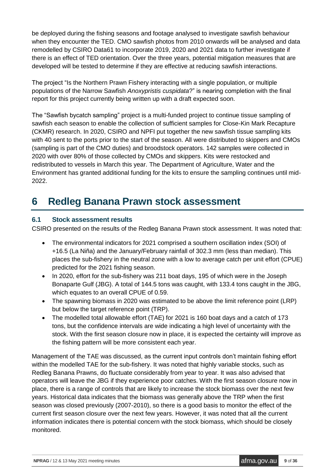be deployed during the fishing seasons and footage analysed to investigate sawfish behaviour when they encounter the TED. CMO sawfish photos from 2010 onwards will be analysed and data remodelled by CSIRO Data61 to incorporate 2019, 2020 and 2021 data to further investigate if there is an effect of TED orientation. Over the three years, potential mitigation measures that are developed will be tested to determine if they are effective at reducing sawfish interactions.

The project "Is the Northern Prawn Fishery interacting with a single population, or multiple populations of the Narrow Sawfish *Anoxypristis cuspidata*?" is nearing completion with the final report for this project currently being written up with a draft expected soon.

The "Sawfish bycatch sampling" project is a multi-funded project to continue tissue sampling of sawfish each season to enable the collection of sufficient samples for Close-Kin Mark Recapture (CKMR) research. In 2020, CSIRO and NPFI put together the new sawfish tissue sampling kits with 40 sent to the ports prior to the start of the season. All were distributed to skippers and CMOs (sampling is part of the CMO duties) and broodstock operators. 142 samples were collected in 2020 with over 80% of those collected by CMOs and skippers. Kits were restocked and redistributed to vessels in March this year. The Department of Agriculture, Water and the Environment has granted additional funding for the kits to ensure the sampling continues until mid-2022.

## **6 Redleg Banana Prawn stock assessment**

#### **6.1 Stock assessment results**

CSIRO presented on the results of the Redleg Banana Prawn stock assessment. It was noted that:

- The environmental indicators for 2021 comprised a southern oscillation index (SOI) of +16.5 (La Niña) and the January/February rainfall of 302.3 mm (less than median). This places the sub-fishery in the neutral zone with a low to average catch per unit effort (CPUE) predicted for the 2021 fishing season.
- In 2020, effort for the sub-fishery was 211 boat days, 195 of which were in the Joseph Bonaparte Gulf (JBG). A total of 144.5 tons was caught, with 133.4 tons caught in the JBG, which equates to an overall CPUE of 0.59.
- The spawning biomass in 2020 was estimated to be above the limit reference point (LRP) but below the target reference point (TRP).
- The modelled total allowable effort (TAE) for 2021 is 160 boat days and a catch of 173 tons, but the confidence intervals are wide indicating a high level of uncertainty with the stock. With the first season closure now in place, it is expected the certainty will improve as the fishing pattern will be more consistent each year.

Management of the TAE was discussed, as the current input controls don't maintain fishing effort within the modelled TAE for the sub-fishery. It was noted that highly variable stocks, such as Redleg Banana Prawns, do fluctuate considerably from year to year. It was also advised that operators will leave the JBG if they experience poor catches. With the first season closure now in place, there is a range of controls that are likely to increase the stock biomass over the next few years. Historical data indicates that the biomass was generally above the TRP when the first season was closed previously (2007-2010), so there is a good basis to monitor the effect of the current first season closure over the next few years. However, it was noted that all the current information indicates there is potential concern with the stock biomass, which should be closely monitored.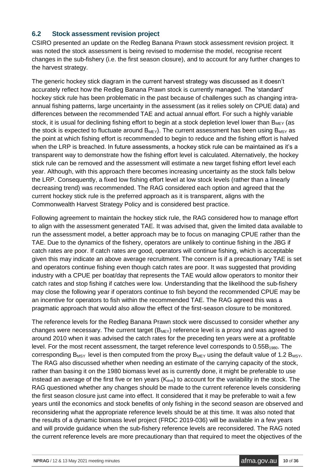#### **6.2 Stock assessment revision project**

CSIRO presented an update on the Redleg Banana Prawn stock assessment revision project. It was noted the stock assessment is being revised to modernise the model, recognise recent changes in the sub-fishery (i.e. the first season closure), and to account for any further changes to the harvest strategy.

The generic hockey stick diagram in the current harvest strategy was discussed as it doesn't accurately reflect how the Redleg Banana Prawn stock is currently managed. The 'standard' hockey stick rule has been problematic in the past because of challenges such as changing intraannual fishing patterns, large uncertainty in the assessment (as it relies solely on CPUE data) and differences between the recommended TAE and actual annual effort. For such a highly variable stock, it is usual for declining fishing effort to begin at a stock depletion level lower than  $B_{MFY}$  (as the stock is expected to fluctuate around  $B_{MEX}$ ). The current assessment has been using  $B_{MSY}$  as the point at which fishing effort is recommended to begin to reduce and the fishing effort is halved when the LRP is breached. In future assessments, a hockey stick rule can be maintained as it's a transparent way to demonstrate how the fishing effort level is calculated. Alternatively, the hockey stick rule can be removed and the assessment will estimate a new target fishing effort level each year. Although, with this approach there becomes increasing uncertainty as the stock falls below the LRP. Consequently, a fixed low fishing effort level at low stock levels (rather than a linearly decreasing trend) was recommended. The RAG considered each option and agreed that the current hockey stick rule is the preferred approach as it is transparent, aligns with the Commonwealth Harvest Strategy Policy and is considered best practice.

Following agreement to maintain the hockey stick rule, the RAG considered how to manage effort to align with the assessment generated TAE. It was advised that, given the limited data available to run the assessment model, a better approach may be to focus on managing CPUE rather than the TAE. Due to the dynamics of the fishery, operators are unlikely to continue fishing in the JBG if catch rates are poor. If catch rates are good, operators will continue fishing, which is acceptable given this may indicate an above average recruitment. The concern is if a precautionary TAE is set and operators continue fishing even though catch rates are poor. It was suggested that providing industry with a CPUE per boat/day that represents the TAE would allow operators to monitor their catch rates and stop fishing if catches were low. Understanding that the likelihood the sub-fishery may close the following year if operators continue to fish beyond the recommended CPUE may be an incentive for operators to fish within the recommended TAE. The RAG agreed this was a pragmatic approach that would also allow the effect of the first-season closure to be monitored.

The reference levels for the Redleg Banana Prawn stock were discussed to consider whether any changes were necessary. The current target  $(B_{M EY})$  reference level is a proxy and was agreed to around 2010 when it was advised the catch rates for the preceding ten years were at a profitable level. For the most recent assessment, the target reference level corresponds to  $0.55B<sub>1980</sub>$ . The corresponding  $B_{MSY}$  level is then computed from the proxy  $B_{MEY}$  using the default value of 1.2  $B_{MSY}$ . The RAG also discussed whether when needing an estimate of the carrying capacity of the stock, rather than basing it on the 1980 biomass level as is currently done, it might be preferable to use instead an average of the first five or ten years  $(K_{ave})$  to account for the variability in the stock. The RAG questioned whether any changes should be made to the current reference levels considering the first season closure just came into effect. It considered that it may be preferable to wait a few years until the economics and stock benefits of only fishing in the second season are observed and reconsidering what the appropriate reference levels should be at this time. It was also noted that the results of a dynamic biomass level project (FRDC 2019-036) will be available in a few years and will provide guidance when the sub-fishery reference levels are reconsidered. The RAG noted the current reference levels are more precautionary than that required to meet the objectives of the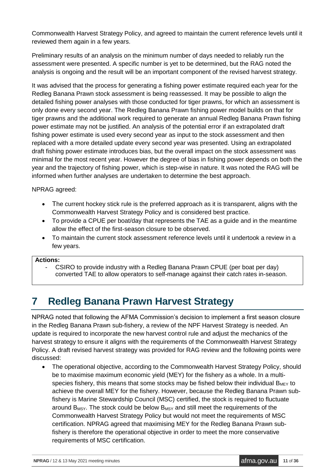Commonwealth Harvest Strategy Policy, and agreed to maintain the current reference levels until it reviewed them again in a few years.

Preliminary results of an analysis on the minimum number of days needed to reliably run the assessment were presented. A specific number is yet to be determined, but the RAG noted the analysis is ongoing and the result will be an important component of the revised harvest strategy.

It was advised that the process for generating a fishing power estimate required each year for the Redleg Banana Prawn stock assessment is being reassessed. It may be possible to align the detailed fishing power analyses with those conducted for tiger prawns, for which an assessment is only done every second year. The Redleg Banana Prawn fishing power model builds on that for tiger prawns and the additional work required to generate an annual Redleg Banana Prawn fishing power estimate may not be justified. An analysis of the potential error if an extrapolated draft fishing power estimate is used every second year as input to the stock assessment and then replaced with a more detailed update every second year was presented. Using an extrapolated draft fishing power estimate introduces bias, but the overall impact on the stock assessment was minimal for the most recent year. However the degree of bias in fishing power depends on both the year and the trajectory of fishing power, which is step-wise in nature. It was noted the RAG will be informed when further analyses are undertaken to determine the best approach.

NPRAG agreed:

- The current hockey stick rule is the preferred approach as it is transparent, aligns with the Commonwealth Harvest Strategy Policy and is considered best practice.
- To provide a CPUE per boat/day that represents the TAE as a guide and in the meantime allow the effect of the first-season closure to be observed.
- To maintain the current stock assessment reference levels until it undertook a review in a few years.

#### **Actions:**

CSIRO to provide industry with a Redleg Banana Prawn CPUE (per boat per dav) converted TAE to allow operators to self-manage against their catch rates in-season.

## **7 Redleg Banana Prawn Harvest Strategy**

NPRAG noted that following the AFMA Commission's decision to implement a first season closure in the Redleg Banana Prawn sub-fishery, a review of the NPF Harvest Strategy is needed. An update is required to incorporate the new harvest control rule and adjust the mechanics of the harvest strategy to ensure it aligns with the requirements of the Commonwealth Harvest Strategy Policy. A draft revised harvest strategy was provided for RAG review and the following points were discussed:

• The operational objective, according to the Commonwealth Harvest Strategy Policy, should be to maximise maximum economic yield (MEY) for the fishery as a whole. In a multispecies fishery, this means that some stocks may be fished below their individual  $B_{MEX}$  to achieve the overall MEY for the fishery. However, because the Redleg Banana Prawn subfishery is Marine Stewardship Council (MSC) certified, the stock is required to fluctuate around B<sub>MSY</sub>. The stock could be below B<sub>MSY</sub> and still meet the requirements of the Commonwealth Harvest Strategy Policy but would not meet the requirements of MSC certification. NPRAG agreed that maximising MEY for the Redleg Banana Prawn subfishery is therefore the operational objective in order to meet the more conservative requirements of MSC certification.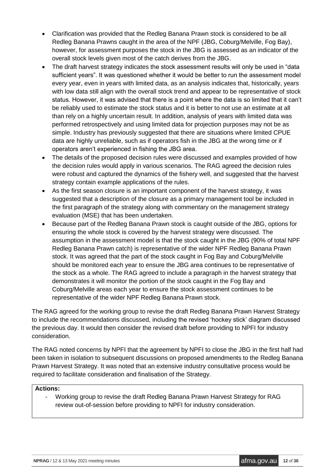- Clarification was provided that the Redleg Banana Prawn stock is considered to be all Redleg Banana Prawns caught in the area of the NPF (JBG, Coburg/Melville, Fog Bay), however, for assessment purposes the stock in the JBG is assessed as an indicator of the overall stock levels given most of the catch derives from the JBG.
- The draft harvest strategy indicates the stock assessment results will only be used in "data" sufficient years". It was questioned whether it would be better to run the assessment model every year, even in years with limited data, as an analysis indicates that, historically, years with low data still align with the overall stock trend and appear to be representative of stock status. However, it was advised that there is a point where the data is so limited that it can't be reliably used to estimate the stock status and it is better to not use an estimate at all than rely on a highly uncertain result. In addition, analysis of years with limited data was performed retrospectively and using limited data for projection purposes may not be as simple. Industry has previously suggested that there are situations where limited CPUE data are highly unreliable, such as if operators fish in the JBG at the wrong time or if operators aren't experienced in fishing the JBG area.
- The details of the proposed decision rules were discussed and examples provided of how the decision rules would apply in various scenarios. The RAG agreed the decision rules were robust and captured the dynamics of the fishery well, and suggested that the harvest strategy contain example applications of the rules.
- As the first season closure is an important component of the harvest strategy, it was suggested that a description of the closure as a primary management tool be included in the first paragraph of the strategy along with commentary on the management strategy evaluation (MSE) that has been undertaken.
- Because part of the Redleg Banana Prawn stock is caught outside of the JBG, options for ensuring the whole stock is covered by the harvest strategy were discussed. The assumption in the assessment model is that the stock caught in the JBG (90% of total NPF Redleg Banana Prawn catch) is representative of the wider NPF Redleg Banana Prawn stock. It was agreed that the part of the stock caught in Fog Bay and Coburg/Melville should be monitored each year to ensure the JBG area continues to be representative of the stock as a whole. The RAG agreed to include a paragraph in the harvest strategy that demonstrates it will monitor the portion of the stock caught in the Fog Bay and Coburg/Melville areas each year to ensure the stock assessment continues to be representative of the wider NPF Redleg Banana Prawn stock.

The RAG agreed for the working group to revise the draft Redleg Banana Prawn Harvest Strategy to include the recommendations discussed, including the revised 'hockey stick' diagram discussed the previous day. It would then consider the revised draft before providing to NPFI for industry consideration.

The RAG noted concerns by NPFI that the agreement by NPFI to close the JBG in the first half had been taken in isolation to subsequent discussions on proposed amendments to the Redleg Banana Prawn Harvest Strategy. It was noted that an extensive industry consultative process would be required to facilitate consideration and finalisation of the Strategy.

#### **Actions:**

- Working group to revise the draft Redleg Banana Prawn Harvest Strategy for RAG review out-of-session before providing to NPFI for industry consideration.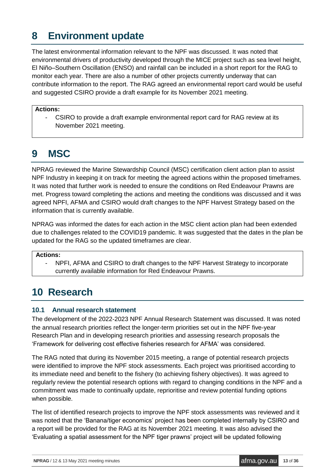## **8 Environment update**

The latest environmental information relevant to the NPF was discussed. It was noted that environmental drivers of productivity developed through the MICE project such as sea level height, El Niño–Southern Oscillation (ENSO) and rainfall can be included in a short report for the RAG to monitor each year. There are also a number of other projects currently underway that can contribute information to the report. The RAG agreed an environmental report card would be useful and suggested CSIRO provide a draft example for its November 2021 meeting.

#### **Actions:**

- CSIRO to provide a draft example environmental report card for RAG review at its November 2021 meeting.

## **9 MSC**

NPRAG reviewed the Marine Stewardship Council (MSC) certification client action plan to assist NPF Industry in keeping it on track for meeting the agreed actions within the proposed timeframes. It was noted that further work is needed to ensure the conditions on Red Endeavour Prawns are met. Progress toward completing the actions and meeting the conditions was discussed and it was agreed NPFI, AFMA and CSIRO would draft changes to the NPF Harvest Strategy based on the information that is currently available.

NPRAG was informed the dates for each action in the MSC client action plan had been extended due to challenges related to the COVID19 pandemic. It was suggested that the dates in the plan be updated for the RAG so the updated timeframes are clear.

#### **Actions:**

NPFI, AFMA and CSIRO to draft changes to the NPF Harvest Strategy to incorporate currently available information for Red Endeavour Prawns.

## **10 Research**

### **10.1 Annual research statement**

The development of the 2022-2023 NPF Annual Research Statement was discussed. It was noted the annual research priorities reflect the longer-term priorities set out in the NPF five-year Research Plan and in developing research priorities and assessing research proposals the 'Framework for delivering cost effective fisheries research for AFMA' was considered.

The RAG noted that during its November 2015 meeting, a range of potential research projects were identified to improve the NPF stock assessments. Each project was prioritised according to its immediate need and benefit to the fishery (to achieving fishery objectives). It was agreed to regularly review the potential research options with regard to changing conditions in the NPF and a commitment was made to continually update, reprioritise and review potential funding options when possible.

The list of identified research projects to improve the NPF stock assessments was reviewed and it was noted that the 'Banana/tiger economics' project has been completed internally by CSIRO and a report will be provided for the RAG at its November 2021 meeting. It was also advised the 'Evaluating a spatial assessment for the NPF tiger prawns' project will be updated following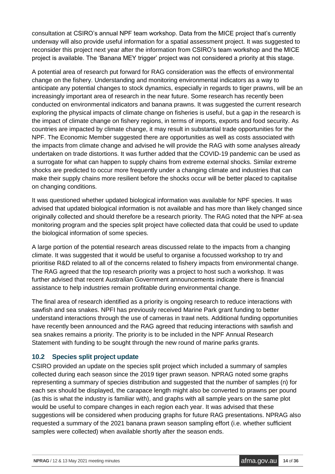consultation at CSIRO's annual NPF team workshop. Data from the MICE project that's currently underway will also provide useful information for a spatial assessment project. It was suggested to reconsider this project next year after the information from CSIRO's team workshop and the MICE project is available. The 'Banana MEY trigger' project was not considered a priority at this stage.

A potential area of research put forward for RAG consideration was the effects of environmental change on the fishery. Understanding and monitoring environmental indicators as a way to anticipate any potential changes to stock dynamics, especially in regards to tiger prawns, will be an increasingly important area of research in the near future. Some research has recently been conducted on environmental indicators and banana prawns. It was suggested the current research exploring the physical impacts of climate change on fisheries is useful, but a gap in the research is the impact of climate change on fishery regions, in terms of imports, exports and food security. As countries are impacted by climate change, it may result in substantial trade opportunities for the NPF. The Economic Member suggested there are opportunities as well as costs associated with the impacts from climate change and advised he will provide the RAG with some analyses already undertaken on trade distortions. It was further added that the COVID-19 pandemic can be used as a surrogate for what can happen to supply chains from extreme external shocks. Similar extreme shocks are predicted to occur more frequently under a changing climate and industries that can make their supply chains more resilient before the shocks occur will be better placed to capitalise on changing conditions.

It was questioned whether updated biological information was available for NPF species. It was advised that updated biological information is not available and has more than likely changed since originally collected and should therefore be a research priority. The RAG noted that the NPF at-sea monitoring program and the species split project have collected data that could be used to update the biological information of some species.

A large portion of the potential research areas discussed relate to the impacts from a changing climate. It was suggested that it would be useful to organise a focussed workshop to try and prioritise R&D related to all of the concerns related to fishery impacts from environmental change. The RAG agreed that the top research priority was a project to host such a workshop. It was further advised that recent Australian Government announcements indicate there is financial assistance to help industries remain profitable during environmental change.

The final area of research identified as a priority is ongoing research to reduce interactions with sawfish and sea snakes. NPFI has previously received Marine Park grant funding to better understand interactions through the use of cameras in trawl nets. Additional funding opportunities have recently been announced and the RAG agreed that reducing interactions with sawfish and sea snakes remains a priority. The priority is to be included in the NPF Annual Research Statement with funding to be sought through the new round of marine parks grants.

### **10.2 Species split project update**

CSIRO provided an update on the species split project which included a summary of samples collected during each season since the 2019 tiger prawn season. NPRAG noted some graphs representing a summary of species distribution and suggested that the number of samples (n) for each sex should be displayed, the carapace length might also be converted to prawns per pound (as this is what the industry is familiar with), and graphs with all sample years on the same plot would be useful to compare changes in each region each year. It was advised that these suggestions will be considered when producing graphs for future RAG presentations. NPRAG also requested a summary of the 2021 banana prawn season sampling effort (i.e. whether sufficient samples were collected) when available shortly after the season ends.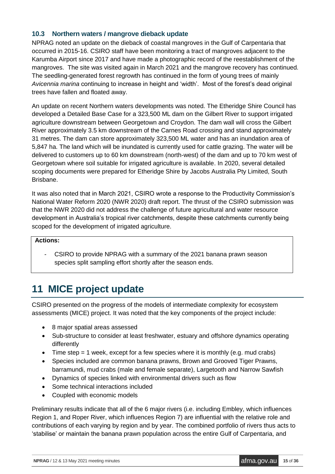### **10.3 Northern waters / mangrove dieback update**

NPRAG noted an update on the dieback of coastal mangroves in the Gulf of Carpentaria that occurred in 2015-16. CSIRO staff have been monitoring a tract of mangroves adjacent to the Karumba Airport since 2017 and have made a photographic record of the reestablishment of the mangroves. The site was visited again in March 2021 and the mangrove recovery has continued. The seedling-generated forest regrowth has continued in the form of young trees of mainly *Avicennia marina* continuing to increase in height and 'width'. Most of the forest's dead original trees have fallen and floated away.

An update on recent Northern waters developments was noted. The Etheridge Shire Council has developed a Detailed Base Case for a 323,500 ML dam on the Gilbert River to support irrigated agriculture downstream between Georgetown and Croydon. The dam wall will cross the Gilbert River approximately 3.5 km downstream of the Carnes Road crossing and stand approximately 31 metres. The dam can store approximately 323,500 ML water and has an inundation area of 5,847 ha. The land which will be inundated is currently used for cattle grazing. The water will be delivered to customers up to 60 km downstream (north-west) of the dam and up to 70 km west of Georgetown where soil suitable for irrigated agriculture is available. In 2020, several detailed scoping documents were prepared for Etheridge Shire by Jacobs Australia Pty Limited, South Brisbane.

It was also noted that in March 2021, CSIRO wrote a response to the Productivity Commission's National Water Reform 2020 (NWR 2020) draft report. The thrust of the CSIRO submission was that the NWR 2020 did not address the challenge of future agricultural and water resource development in Australia's tropical river catchments, despite these catchments currently being scoped for the development of irrigated agriculture.

#### **Actions:**

- CSIRO to provide NPRAG with a summary of the 2021 banana prawn season species split sampling effort shortly after the season ends.

## **11 MICE project update**

CSIRO presented on the progress of the models of intermediate complexity for ecosystem assessments (MICE) project. It was noted that the key components of the project include:

- 8 major spatial areas assessed
- Sub-structure to consider at least freshwater, estuary and offshore dynamics operating differently
- Time step  $= 1$  week, except for a few species where it is monthly (e.g. mud crabs)
- Species included are common banana prawns, Brown and Grooved Tiger Prawns, barramundi, mud crabs (male and female separate), Largetooth and Narrow Sawfish
- Dynamics of species linked with environmental drivers such as flow
- Some technical interactions included
- Coupled with economic models

Preliminary results indicate that all of the 6 major rivers (i.e. including Embley, which influences Region 1, and Roper River, which influences Region 7) are influential with the relative role and contributions of each varying by region and by year. The combined portfolio of rivers thus acts to 'stabilise' or maintain the banana prawn population across the entire Gulf of Carpentaria, and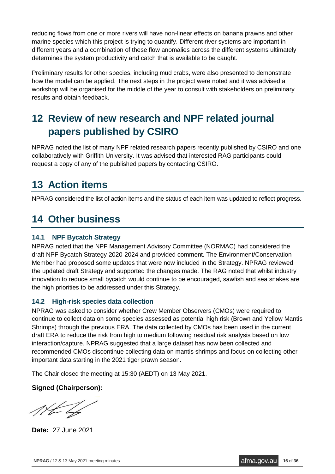reducing flows from one or more rivers will have non-linear effects on banana prawns and other marine species which this project is trying to quantify. Different river systems are important in different years and a combination of these flow anomalies across the different systems ultimately determines the system productivity and catch that is available to be caught.

Preliminary results for other species, including mud crabs, were also presented to demonstrate how the model can be applied. The next steps in the project were noted and it was advised a workshop will be organised for the middle of the year to consult with stakeholders on preliminary results and obtain feedback.

## **12 Review of new research and NPF related journal papers published by CSIRO**

NPRAG noted the list of many NPF related research papers recently published by CSIRO and one collaboratively with Griffith University. It was advised that interested RAG participants could request a copy of any of the published papers by contacting CSIRO.

## **13 Action items**

NPRAG considered the list of action items and the status of each item was updated to reflect progress.

## **14 Other business**

### **14.1 NPF Bycatch Strategy**

NPRAG noted that the NPF Management Advisory Committee (NORMAC) had considered the draft NPF Bycatch Strategy 2020-2024 and provided comment. The Environment/Conservation Member had proposed some updates that were now included in the Strategy. NPRAG reviewed the updated draft Strategy and supported the changes made. The RAG noted that whilst industry innovation to reduce small bycatch would continue to be encouraged, sawfish and sea snakes are the high priorities to be addressed under this Strategy.

### **14.2 High-risk species data collection**

NPRAG was asked to consider whether Crew Member Observers (CMOs) were required to continue to collect data on some species assessed as potential high risk (Brown and Yellow Mantis Shrimps) through the previous ERA. The data collected by CMOs has been used in the current draft ERA to reduce the risk from high to medium following residual risk analysis based on low interaction/capture. NPRAG suggested that a large dataset has now been collected and recommended CMOs discontinue collecting data on mantis shrimps and focus on collecting other important data starting in the 2021 tiger prawn season.

The Chair closed the meeting at 15:30 (AEDT) on 13 May 2021.

### **Signed (Chairperson):**

**Date:** 27 June 2021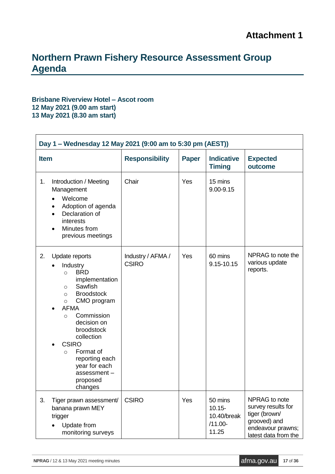### **Northern Prawn Fishery Resource Assessment Group Agenda**

#### **Brisbane Riverview Hotel – Ascot room 12 May 2021 (9.00 am start) 13 May 2021 (8.30 am start)**

| Day 1 - Wednesday 12 May 2021 (9:00 am to 5:30 pm (AEST)) |                                                                                                                                                                                                                                                                                                                                                            |                                       |     |                                                            |                                                                                                                   |
|-----------------------------------------------------------|------------------------------------------------------------------------------------------------------------------------------------------------------------------------------------------------------------------------------------------------------------------------------------------------------------------------------------------------------------|---------------------------------------|-----|------------------------------------------------------------|-------------------------------------------------------------------------------------------------------------------|
| <b>Item</b>                                               |                                                                                                                                                                                                                                                                                                                                                            | <b>Responsibility</b><br><b>Paper</b> |     | <b>Indicative</b><br><b>Timing</b>                         | <b>Expected</b><br>outcome                                                                                        |
| 1.                                                        | Introduction / Meeting<br>Management<br>Welcome<br>$\bullet$<br>Adoption of agenda<br>Declaration of<br>interests<br>Minutes from<br>$\bullet$<br>previous meetings                                                                                                                                                                                        | Chair                                 | Yes | 15 mins<br>9.00-9.15                                       |                                                                                                                   |
| 2.                                                        | Update reports<br>Industry<br><b>BRD</b><br>$\circ$<br>implementation<br>Sawfish<br>$\circ$<br><b>Broodstock</b><br>$\circ$<br>CMO program<br>$\circ$<br><b>AFMA</b><br>Commission<br>$\Omega$<br>decision on<br>broodstock<br>collection<br><b>CSIRO</b><br>Format of<br>$\circ$<br>reporting each<br>year for each<br>assessment-<br>proposed<br>changes | Industry / AFMA /<br><b>CSIRO</b>     | Yes | 60 mins<br>9.15-10.15                                      | NPRAG to note the<br>various update<br>reports.                                                                   |
| 3.                                                        | Tiger prawn assessment/<br>banana prawn MEY<br>trigger<br>Update from<br>monitoring surveys                                                                                                                                                                                                                                                                | <b>CSIRO</b>                          | Yes | 50 mins<br>$10.15 -$<br>10.40/break<br>$/11.00 -$<br>11.25 | NPRAG to note<br>survey results for<br>tiger (brown/<br>grooved) and<br>endeavour prawns;<br>latest data from the |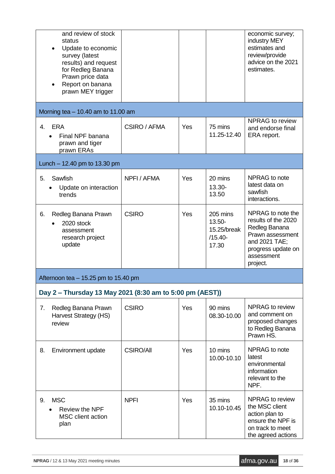| and review of stock<br>status<br>Update to economic<br>survey (latest<br>results) and request<br>for Redleg Banana<br>Prawn price data<br>Report on banana<br>prawn MEY trigger |                  |     |                                                            | economic survey;<br>industry MEY<br>estimates and<br>review/provide<br>advice on the 2021<br>estimates.                                        |
|---------------------------------------------------------------------------------------------------------------------------------------------------------------------------------|------------------|-----|------------------------------------------------------------|------------------------------------------------------------------------------------------------------------------------------------------------|
| Morning tea $-10.40$ am to 11.00 am                                                                                                                                             |                  |     |                                                            |                                                                                                                                                |
| <b>ERA</b><br>4.<br>Final NPF banana<br>prawn and tiger<br>prawn ERAs                                                                                                           | CSIRO / AFMA     | Yes | 75 mins<br>11.25-12.40                                     | NPRAG to review<br>and endorse final<br>ERA report.                                                                                            |
| Lunch $- 12.40$ pm to 13.30 pm                                                                                                                                                  |                  |     |                                                            |                                                                                                                                                |
| Sawfish<br>5.<br>Update on interaction<br>trends                                                                                                                                | NPFI / AFMA      | Yes | 20 mins<br>13.30-<br>13.50                                 | NPRAG to note<br>latest data on<br>sawfish<br>interactions.                                                                                    |
| 6.<br>Redleg Banana Prawn<br>2020 stock<br>assessment<br>research project<br>update                                                                                             | <b>CSIRO</b>     | Yes | 205 mins<br>$13.50 -$<br>15.25/break<br>$/15.40-$<br>17.30 | NPRAG to note the<br>results of the 2020<br>Redleg Banana<br>Prawn assessment<br>and 2021 TAE;<br>progress update on<br>assessment<br>project. |
| Afternoon tea $-15.25$ pm to 15.40 pm                                                                                                                                           |                  |     |                                                            |                                                                                                                                                |
| Day 2 – Thursday 13 May 2021 (8:30 am to 5:00 pm (AEST))                                                                                                                        |                  |     |                                                            |                                                                                                                                                |
| Redleg Banana Prawn<br>7.<br>Harvest Strategy (HS)<br>review                                                                                                                    | <b>CSIRO</b>     | Yes | 90 mins<br>08.30-10.00                                     | NPRAG to review<br>and comment on<br>proposed changes<br>to Redleg Banana<br>Prawn HS.                                                         |
| Environment update<br>8.                                                                                                                                                        | <b>CSIRO/All</b> | Yes | 10 mins<br>10.00-10.10                                     | NPRAG to note<br>latest<br>environmental<br>information<br>relevant to the<br>NPF.                                                             |
| <b>MSC</b><br>9.<br><b>Review the NPF</b><br>MSC client action<br>plan                                                                                                          | <b>NPFI</b>      | Yes | 35 mins<br>10.10-10.45                                     | NPRAG to review<br>the MSC client<br>action plan to<br>ensure the NPF is<br>on track to meet<br>the agreed actions                             |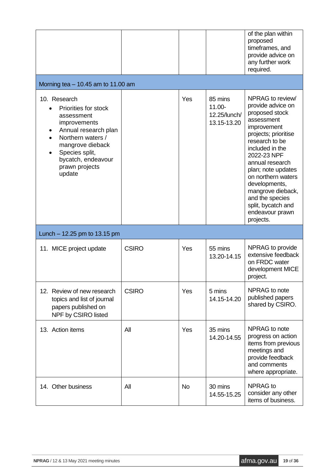|                                                                                                                                                                                                         |              |           |                                                     | of the plan within<br>proposed<br>timeframes, and<br>provide advice on<br>any further work<br>required.                                                                                                                                                                                                                                        |
|---------------------------------------------------------------------------------------------------------------------------------------------------------------------------------------------------------|--------------|-----------|-----------------------------------------------------|------------------------------------------------------------------------------------------------------------------------------------------------------------------------------------------------------------------------------------------------------------------------------------------------------------------------------------------------|
| Morning tea $-10.45$ am to 11.00 am                                                                                                                                                                     |              |           |                                                     |                                                                                                                                                                                                                                                                                                                                                |
| 10. Research<br>Priorities for stock<br>assessment<br>improvements<br>Annual research plan<br>Northern waters /<br>mangrove dieback<br>Species split,<br>bycatch, endeavour<br>prawn projects<br>update |              | Yes       | 85 mins<br>$11.00 -$<br>12.25/lunch/<br>13.15-13.20 | NPRAG to review/<br>provide advice on<br>proposed stock<br>assessment<br>improvement<br>projects; prioritise<br>research to be<br>included in the<br>2022-23 NPF<br>annual research<br>plan; note updates<br>on northern waters<br>developments,<br>mangrove dieback,<br>and the species<br>split, bycatch and<br>endeavour prawn<br>projects. |
| Lunch $-12.25$ pm to 13.15 pm                                                                                                                                                                           |              |           |                                                     |                                                                                                                                                                                                                                                                                                                                                |
| 11. MICE project update                                                                                                                                                                                 | <b>CSIRO</b> | Yes       | 55 mins<br>13.20-14.15                              | NPRAG to provide<br>extensive feedback<br>on FRDC water<br>development MICE<br>project.                                                                                                                                                                                                                                                        |
| 12. Review of new research<br>topics and list of journal<br>papers published on<br>NPF by CSIRO listed                                                                                                  | <b>CSIRO</b> | Yes       | 5 mins<br>14.15-14.20                               | NPRAG to note<br>published papers<br>shared by CSIRO.                                                                                                                                                                                                                                                                                          |
| 13. Action items                                                                                                                                                                                        | All          | Yes       | 35 mins<br>14.20-14.55                              | NPRAG to note<br>progress on action<br>items from previous<br>meetings and<br>provide feedback<br>and comments<br>where appropriate.                                                                                                                                                                                                           |
| 14. Other business                                                                                                                                                                                      | All          | <b>No</b> | 30 mins<br>14.55-15.25                              | <b>NPRAG</b> to<br>consider any other<br>items of business.                                                                                                                                                                                                                                                                                    |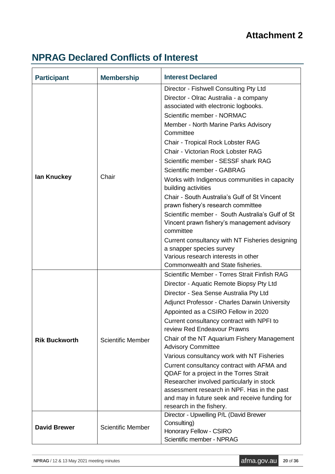### **Attachment 2**

## **NPRAG Declared Conflicts of Interest**

| <b>Participant</b>   | <b>Membership</b>        | <b>Interest Declared</b>                                                           |
|----------------------|--------------------------|------------------------------------------------------------------------------------|
|                      |                          | Director - Fishwell Consulting Pty Ltd                                             |
|                      |                          | Director - Olrac Australia - a company                                             |
|                      |                          | associated with electronic logbooks.                                               |
|                      |                          | Scientific member - NORMAC                                                         |
|                      |                          | Member - North Marine Parks Advisory<br>Committee                                  |
|                      |                          | Chair - Tropical Rock Lobster RAG                                                  |
|                      |                          | Chair - Victorian Rock Lobster RAG                                                 |
|                      |                          | Scientific member - SESSF shark RAG                                                |
|                      |                          | Scientific member - GABRAG                                                         |
| lan Knuckey          | Chair                    | Works with Indigenous communities in capacity<br>building activities               |
|                      |                          | Chair - South Australia's Gulf of St Vincent<br>prawn fishery's research committee |
|                      |                          | Scientific member - South Australia's Gulf of St                                   |
|                      |                          | Vincent prawn fishery's management advisory                                        |
|                      |                          | committee                                                                          |
|                      |                          | Current consultancy with NT Fisheries designing                                    |
|                      |                          | a snapper species survey<br>Various research interests in other                    |
|                      |                          | Commonwealth and State fisheries.                                                  |
|                      |                          | Scientific Member - Torres Strait Finfish RAG                                      |
|                      |                          | Director - Aquatic Remote Biopsy Pty Ltd                                           |
|                      |                          | Director - Sea Sense Australia Pty Ltd                                             |
|                      |                          | <b>Adjunct Professor - Charles Darwin University</b>                               |
|                      |                          | Appointed as a CSIRO Fellow in 2020                                                |
|                      |                          | Current consultancy contract with NPFI to<br>review Red Endeavour Prawns           |
| <b>Rik Buckworth</b> | <b>Scientific Member</b> | Chair of the NT Aquarium Fishery Management<br><b>Advisory Committee</b>           |
|                      |                          | Various consultancy work with NT Fisheries                                         |
|                      |                          | Current consultancy contract with AFMA and                                         |
|                      |                          | QDAF for a project in the Torres Strait                                            |
|                      |                          | Researcher involved particularly in stock                                          |
|                      |                          | assessment research in NPF. Has in the past                                        |
|                      |                          | and may in future seek and receive funding for<br>research in the fishery.         |
|                      |                          | Director - Upwelling P/L (David Brewer                                             |
|                      |                          | Consulting)                                                                        |
| <b>David Brewer</b>  | <b>Scientific Member</b> | Honorary Fellow - CSIRO                                                            |
|                      |                          | Scientific member - NPRAG                                                          |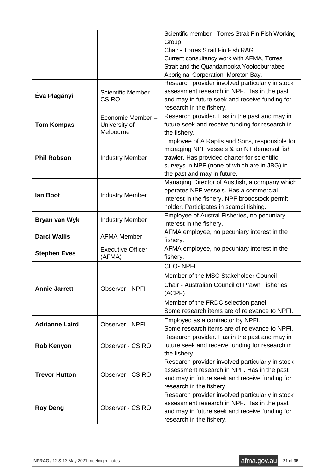|                       |                          | Scientific member - Torres Strait Fin Fish Working |
|-----------------------|--------------------------|----------------------------------------------------|
|                       |                          | Group                                              |
|                       |                          | Chair - Torres Strait Fin Fish RAG                 |
|                       |                          | Current consultancy work with AFMA, Torres         |
|                       |                          | Strait and the Quandamooka Yoolooburrabee          |
|                       |                          | Aboriginal Corporation, Moreton Bay.               |
|                       |                          | Research provider involved particularly in stock   |
| Éva Plagányi          | Scientific Member -      | assessment research in NPF. Has in the past        |
|                       | <b>CSIRO</b>             | and may in future seek and receive funding for     |
|                       |                          | research in the fishery.                           |
|                       | Economic Member-         | Research provider. Has in the past and may in      |
| <b>Tom Kompas</b>     | University of            | future seek and receive funding for research in    |
|                       | Melbourne                | the fishery.                                       |
|                       |                          | Employee of A Raptis and Sons, responsible for     |
|                       |                          | managing NPF vessels & an NT demersal fish         |
| <b>Phil Robson</b>    | <b>Industry Member</b>   | trawler. Has provided charter for scientific       |
|                       |                          | surveys in NPF (none of which are in JBG) in       |
|                       |                          | the past and may in future.                        |
|                       |                          | Managing Director of Austfish, a company which     |
| lan Boot              |                          | operates NPF vessels. Has a commercial             |
|                       | <b>Industry Member</b>   | interest in the fishery. NPF broodstock permit     |
|                       |                          | holder. Participates in scampi fishing.            |
|                       |                          | Employee of Austral Fisheries, no pecuniary        |
| Bryan van Wyk         | <b>Industry Member</b>   | interest in the fishery.                           |
|                       |                          | AFMA employee, no pecuniary interest in the        |
| <b>Darci Wallis</b>   | <b>AFMA Member</b>       | fishery.                                           |
|                       | <b>Executive Officer</b> | AFMA employee, no pecuniary interest in the        |
| <b>Stephen Eves</b>   | (AFMA)                   | fishery.                                           |
|                       |                          | <b>CEO-NPFI</b>                                    |
|                       |                          | Member of the MSC Stakeholder Council              |
| <b>Annie Jarrett</b>  | Observer - NPFI          | Chair - Australian Council of Prawn Fisheries      |
|                       |                          | (ACPF)                                             |
|                       |                          | Member of the FRDC selection panel                 |
|                       |                          | Some research items are of relevance to NPFI.      |
|                       |                          | Employed as a contractor by NPFI.                  |
| <b>Adrianne Laird</b> | Observer - NPFI          | Some research items are of relevance to NPFI.      |
|                       |                          | Research provider. Has in the past and may in      |
| <b>Rob Kenyon</b>     | Observer - CSIRO         | future seek and receive funding for research in    |
|                       |                          | the fishery.                                       |
|                       |                          | Research provider involved particularly in stock   |
|                       |                          | assessment research in NPF. Has in the past        |
| <b>Trevor Hutton</b>  | Observer - CSIRO         | and may in future seek and receive funding for     |
|                       |                          | research in the fishery.                           |
|                       |                          | Research provider involved particularly in stock   |
|                       |                          | assessment research in NPF. Has in the past        |
| <b>Roy Deng</b>       | Observer - CSIRO         | and may in future seek and receive funding for     |
|                       |                          | research in the fishery.                           |
|                       |                          |                                                    |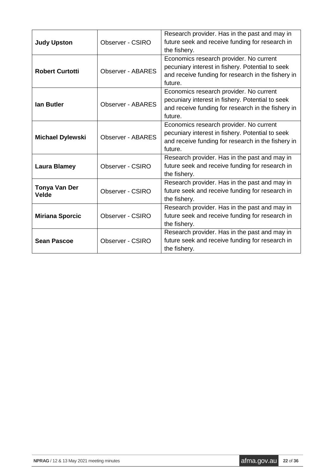| <b>Judy Upston</b>            | Observer - CSIRO         | Research provider. Has in the past and may in<br>future seek and receive funding for research in<br>the fishery.                                             |
|-------------------------------|--------------------------|--------------------------------------------------------------------------------------------------------------------------------------------------------------|
| <b>Robert Curtotti</b>        | <b>Observer - ABARES</b> | Economics research provider. No current<br>pecuniary interest in fishery. Potential to seek<br>and receive funding for research in the fishery in<br>future. |
| lan Butler                    | <b>Observer - ABARES</b> | Economics research provider. No current<br>pecuniary interest in fishery. Potential to seek<br>and receive funding for research in the fishery in<br>future. |
| <b>Michael Dylewski</b>       | <b>Observer - ABARES</b> | Economics research provider. No current<br>pecuniary interest in fishery. Potential to seek<br>and receive funding for research in the fishery in<br>future. |
| <b>Laura Blamey</b>           | Observer - CSIRO         | Research provider. Has in the past and may in<br>future seek and receive funding for research in<br>the fishery.                                             |
| Tonya Van Der<br><b>Velde</b> | Observer - CSIRO         | Research provider. Has in the past and may in<br>future seek and receive funding for research in<br>the fishery.                                             |
| <b>Miriana Sporcic</b>        | Observer - CSIRO         | Research provider. Has in the past and may in<br>future seek and receive funding for research in<br>the fishery.                                             |
| <b>Sean Pascoe</b>            | Observer - CSIRO         | Research provider. Has in the past and may in<br>future seek and receive funding for research in<br>the fishery.                                             |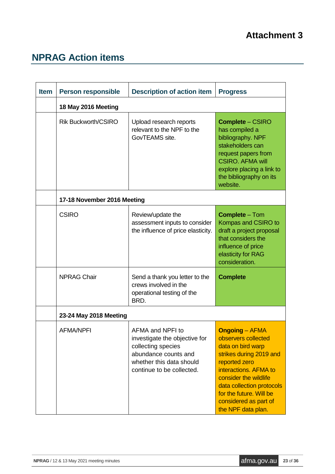## **NPRAG Action items**

| <b>Item</b> | <b>Person responsible</b>   | <b>Description of action item</b>                                                                                                                        | <b>Progress</b>                                                                                                                                                                                                                                                        |  |
|-------------|-----------------------------|----------------------------------------------------------------------------------------------------------------------------------------------------------|------------------------------------------------------------------------------------------------------------------------------------------------------------------------------------------------------------------------------------------------------------------------|--|
|             | 18 May 2016 Meeting         |                                                                                                                                                          |                                                                                                                                                                                                                                                                        |  |
|             | <b>Rik Buckworth/CSIRO</b>  | Upload research reports<br>relevant to the NPF to the<br>GovTEAMS site.                                                                                  | <b>Complete – CSIRO</b><br>has compiled a<br>bibliography. NPF<br>stakeholders can<br>request papers from<br><b>CSIRO. AFMA will</b><br>explore placing a link to<br>the bibliography on its<br>website.                                                               |  |
|             | 17-18 November 2016 Meeting |                                                                                                                                                          |                                                                                                                                                                                                                                                                        |  |
|             | <b>CSIRO</b>                | Review/update the<br>assessment inputs to consider<br>the influence of price elasticity.                                                                 | <b>Complete - Tom</b><br>Kompas and CSIRO to<br>draft a project proposal<br>that considers the<br>influence of price<br>elasticity for RAG<br>consideration.                                                                                                           |  |
|             | <b>NPRAG Chair</b>          | Send a thank you letter to the<br>crews involved in the<br>operational testing of the<br>BRD.                                                            | <b>Complete</b>                                                                                                                                                                                                                                                        |  |
|             | 23-24 May 2018 Meeting      |                                                                                                                                                          |                                                                                                                                                                                                                                                                        |  |
|             | AFMA/NPFI                   | AFMA and NPFI to<br>investigate the objective for<br>collecting species<br>abundance counts and<br>whether this data should<br>continue to be collected. | <b>Ongoing – AFMA</b><br>observers collected<br>data on bird warp<br>strikes during 2019 and<br>reported zero<br>interactions. AFMA to<br>consider the wildlife<br>data collection protocols<br>for the future. Will be<br>considered as part of<br>the NPF data plan. |  |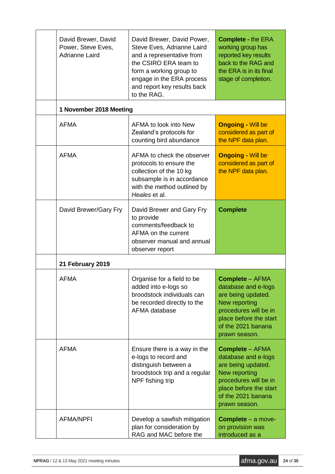| David Brewer, David<br>Power, Steve Eves,<br>Adrianne Laird | David Brewer, David Power,<br>Steve Eves, Adrianne Laird<br>and a representative from<br>the CSIRO ERA team to<br>form a working group to<br>engage in the ERA process<br>and report key results back<br>to the RAG. | <b>Complete - the ERA</b><br>working group has<br>reported key results<br>back to the RAG and<br>the ERA is in its final<br>stage of completion.                               |  |  |
|-------------------------------------------------------------|----------------------------------------------------------------------------------------------------------------------------------------------------------------------------------------------------------------------|--------------------------------------------------------------------------------------------------------------------------------------------------------------------------------|--|--|
| 1 November 2018 Meeting                                     |                                                                                                                                                                                                                      |                                                                                                                                                                                |  |  |
| <b>AFMA</b>                                                 | AFMA to look into New<br>Zealand's protocols for<br>counting bird abundance                                                                                                                                          | <b>Ongoing - Will be</b><br>considered as part of<br>the NPF data plan.                                                                                                        |  |  |
| <b>AFMA</b>                                                 | AFMA to check the observer<br>protocols to ensure the<br>collection of the 10 kg<br>subsample is in accordance<br>with the method outlined by<br>Heales et al.                                                       | <b>Ongoing - Will be</b><br>considered as part of<br>the NPF data plan.                                                                                                        |  |  |
| David Brewer/Gary Fry                                       | David Brewer and Gary Fry<br>to provide<br>comments/feedback to<br>AFMA on the current<br>observer manual and annual<br>observer report                                                                              | <b>Complete</b>                                                                                                                                                                |  |  |
| 21 February 2019                                            |                                                                                                                                                                                                                      |                                                                                                                                                                                |  |  |
| <b>AFMA</b>                                                 | Organise for a field to be<br>added into e-logs so<br>broodstock individuals can<br>be recorded directly to the<br>AFMA database                                                                                     | <b>Complete - AFMA</b><br>database and e-logs<br>are being updated.<br>New reporting<br>procedures will be in<br>place before the start<br>of the 2021 banana<br>prawn season. |  |  |
| <b>AFMA</b>                                                 | Ensure there is a way in the<br>e-logs to record and<br>distinguish between a<br>broodstock trip and a regular<br>NPF fishing trip                                                                                   | <b>Complete - AFMA</b><br>database and e-logs<br>are being updated.<br>New reporting<br>procedures will be in<br>place before the start<br>of the 2021 banana<br>prawn season. |  |  |
| <b>AFMA/NPFI</b>                                            | Develop a sawfish mitigation<br>plan for consideration by<br>RAG and MAC before the                                                                                                                                  | <b>Complete</b> – a move-<br>on provision was<br>introduced as a                                                                                                               |  |  |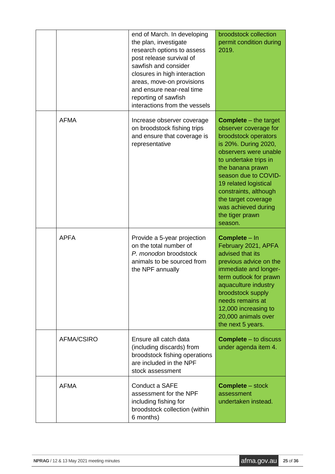|                   | end of March. In developing<br>the plan, investigate<br>research options to assess<br>post release survival of<br>sawfish and consider<br>closures in high interaction<br>areas, move-on provisions<br>and ensure near-real time<br>reporting of sawfish<br>interactions from the vessels | broodstock collection<br>permit condition during<br>2019.                                                                                                                                                                                                                                                                           |
|-------------------|-------------------------------------------------------------------------------------------------------------------------------------------------------------------------------------------------------------------------------------------------------------------------------------------|-------------------------------------------------------------------------------------------------------------------------------------------------------------------------------------------------------------------------------------------------------------------------------------------------------------------------------------|
| <b>AFMA</b>       | Increase observer coverage<br>on broodstock fishing trips<br>and ensure that coverage is<br>representative                                                                                                                                                                                | <b>Complete</b> $-$ the target<br>observer coverage for<br>broodstock operators<br>is 20%. During 2020,<br>observers were unable<br>to undertake trips in<br>the banana prawn<br>season due to COVID-<br>19 related logistical<br>constraints, although<br>the target coverage<br>was achieved during<br>the tiger prawn<br>season. |
| <b>APFA</b>       | Provide a 5-year projection<br>on the total number of<br>P. monodon broodstock<br>animals to be sourced from<br>the NPF annually                                                                                                                                                          | <b>Complete - In</b><br>February 2021, APFA<br>advised that its<br>previous advice on the<br>immediate and longer-<br>term outlook for prawn<br>aquaculture industry<br>broodstock supply<br>needs remains at<br>12,000 increasing to<br>20,000 animals over<br>the next 5 years.                                                   |
| <b>AFMA/CSIRO</b> | Ensure all catch data<br>(including discards) from<br>broodstock fishing operations<br>are included in the NPF<br>stock assessment                                                                                                                                                        | <b>Complete</b> – to discuss<br>under agenda item 4.                                                                                                                                                                                                                                                                                |
| <b>AFMA</b>       | Conduct a SAFE<br>assessment for the NPF<br>including fishing for<br>broodstock collection (within<br>6 months)                                                                                                                                                                           | <b>Complete</b> – stock<br>assessment<br>undertaken instead.                                                                                                                                                                                                                                                                        |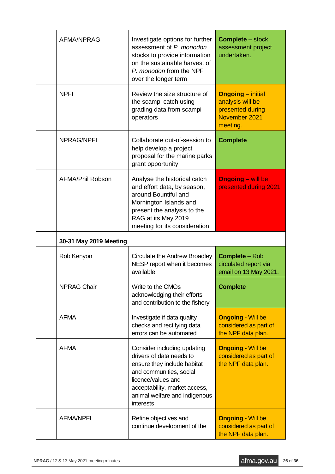| <b>AFMA/NPRAG</b>      | Investigate options for further<br>assessment of P. monodon<br>stocks to provide information<br>on the sustainable harvest of<br>P. monodon from the NPF<br>over the longer term                                       | <b>Complete</b> – stock<br>assessment project<br>undertaken.                                  |
|------------------------|------------------------------------------------------------------------------------------------------------------------------------------------------------------------------------------------------------------------|-----------------------------------------------------------------------------------------------|
| <b>NPFI</b>            | Review the size structure of<br>the scampi catch using<br>grading data from scampi<br>operators                                                                                                                        | <b>Ongoing</b> – initial<br>analysis will be<br>presented during<br>November 2021<br>meeting. |
| <b>NPRAG/NPFI</b>      | Collaborate out-of-session to<br>help develop a project<br>proposal for the marine parks<br>grant opportunity                                                                                                          | <b>Complete</b>                                                                               |
| AFMA/Phil Robson       | Analyse the historical catch<br>and effort data, by season,<br>around Bountiful and<br>Mornington Islands and<br>present the analysis to the<br>RAG at its May 2019<br>meeting for its consideration                   | <b>Ongoing - will be</b><br>presented during 2021                                             |
| 30-31 May 2019 Meeting |                                                                                                                                                                                                                        |                                                                                               |
|                        |                                                                                                                                                                                                                        |                                                                                               |
| Rob Kenyon             | Circulate the Andrew Broadley<br>NESP report when it becomes<br>available                                                                                                                                              | <b>Complete</b> – Rob<br>circulated report via<br>email on 13 May 2021.                       |
| <b>NPRAG Chair</b>     | Write to the CMOs<br>acknowledging their efforts<br>and contribution to the fishery                                                                                                                                    | <b>Complete</b>                                                                               |
| <b>AFMA</b>            | Investigate if data quality<br>checks and rectifying data<br>errors can be automated                                                                                                                                   | <b>Ongoing - Will be</b><br>considered as part of<br>the NPF data plan.                       |
| <b>AFMA</b>            | Consider including updating<br>drivers of data needs to<br>ensure they include habitat<br>and communities, social<br>licence/values and<br>acceptability, market access,<br>animal welfare and indigenous<br>interests | <b>Ongoing - Will be</b><br>considered as part of<br>the NPF data plan.                       |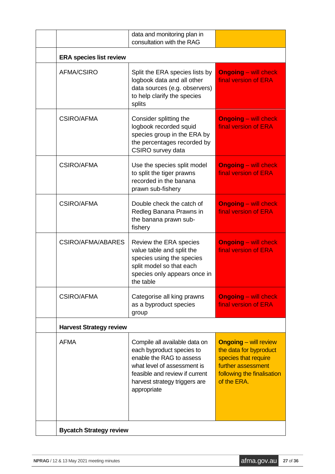|                                | data and monitoring plan in<br>consultation with the RAG                                                                                                                                                |                                                                                                                                                   |  |
|--------------------------------|---------------------------------------------------------------------------------------------------------------------------------------------------------------------------------------------------------|---------------------------------------------------------------------------------------------------------------------------------------------------|--|
| <b>ERA species list review</b> |                                                                                                                                                                                                         |                                                                                                                                                   |  |
| <b>AFMA/CSIRO</b>              | Split the ERA species lists by<br>logbook data and all other<br>data sources (e.g. observers)<br>to help clarify the species<br>splits                                                                  | <b>Ongoing</b> – will check<br>final version of ERA                                                                                               |  |
| <b>CSIRO/AFMA</b>              | Consider splitting the<br>logbook recorded squid<br>species group in the ERA by<br>the percentages recorded by<br>CSIRO survey data                                                                     | <b>Ongoing</b> – will check<br>final version of ERA                                                                                               |  |
| <b>CSIRO/AFMA</b>              | Use the species split model<br>to split the tiger prawns<br>recorded in the banana<br>prawn sub-fishery                                                                                                 | <b>Ongoing - will check</b><br>final version of ERA                                                                                               |  |
| <b>CSIRO/AFMA</b>              | Double check the catch of<br>Redleg Banana Prawns in<br>the banana prawn sub-<br>fishery                                                                                                                | <b>Ongoing - will check</b><br>final version of ERA                                                                                               |  |
| CSIRO/AFMA/ABARES              | Review the ERA species<br>value table and split the<br>species using the species<br>split model so that each<br>species only appears once in<br>the table                                               | <b>Ongoing</b> – will check<br>final version of ERA                                                                                               |  |
| CSIRO/AFMA                     | Categorise all king prawns<br>as a byproduct species<br>group                                                                                                                                           | <b>Ongoing</b> – will check<br>final version of ERA                                                                                               |  |
| <b>Harvest Strategy review</b> |                                                                                                                                                                                                         |                                                                                                                                                   |  |
| <b>AFMA</b>                    | Compile all available data on<br>each byproduct species to<br>enable the RAG to assess<br>what level of assessment is<br>feasible and review if current<br>harvest strategy triggers are<br>appropriate | <b>Ongoing - will review</b><br>the data for byproduct<br>species that require<br>further assessment<br>following the finalisation<br>of the ERA. |  |
| <b>Bycatch Strategy review</b> |                                                                                                                                                                                                         |                                                                                                                                                   |  |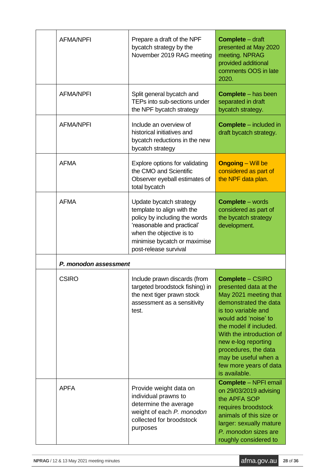| <b>AFMA/NPFI</b>      | Prepare a draft of the NPF<br>bycatch strategy by the<br>November 2019 RAG meeting                                                                                                                        | <b>Complete</b> – draft<br>presented at May 2020<br>meeting. NPRAG<br>provided additional<br>comments OOS in late<br>2020.                                                                                                                                                                                                |
|-----------------------|-----------------------------------------------------------------------------------------------------------------------------------------------------------------------------------------------------------|---------------------------------------------------------------------------------------------------------------------------------------------------------------------------------------------------------------------------------------------------------------------------------------------------------------------------|
| <b>AFMA/NPFI</b>      | Split general bycatch and<br>TEPs into sub-sections under<br>the NPF bycatch strategy                                                                                                                     | <b>Complete</b> – has been<br>separated in draft<br>bycatch strategy.                                                                                                                                                                                                                                                     |
| <b>AFMA/NPFI</b>      | Include an overview of<br>historical initiatives and<br>bycatch reductions in the new<br>bycatch strategy                                                                                                 | <b>Complete</b> – included in<br>draft bycatch strategy.                                                                                                                                                                                                                                                                  |
| <b>AFMA</b>           | Explore options for validating<br>the CMO and Scientific<br>Observer eyeball estimates of<br>total bycatch                                                                                                | <b>Ongoing</b> – Will be<br>considered as part of<br>the NPF data plan.                                                                                                                                                                                                                                                   |
| <b>AFMA</b>           | Update bycatch strategy<br>template to align with the<br>policy by including the words<br>'reasonable and practical'<br>when the objective is to<br>minimise bycatch or maximise<br>post-release survival | <b>Complete</b> – words<br>considered as part of<br>the bycatch strategy<br>development.                                                                                                                                                                                                                                  |
| P. monodon assessment |                                                                                                                                                                                                           |                                                                                                                                                                                                                                                                                                                           |
| <b>CSIRO</b>          | Include prawn discards (from<br>targeted broodstock fishing) in<br>the next tiger prawn stock<br>assessment as a sensitivity<br>test.                                                                     | <b>Complete - CSIRO</b><br>presented data at the<br>May 2021 meeting that<br>demonstrated the data<br>is too variable and<br>would add 'noise' to<br>the model if included.<br>With the introduction of<br>new e-log reporting<br>procedures, the data<br>may be useful when a<br>few more years of data<br>is available. |
| <b>APFA</b>           | Provide weight data on<br>individual prawns to<br>determine the average<br>weight of each P. monodon<br>collected for broodstock<br>purposes                                                              | <b>Complete - NPFI email</b><br>on 29/03/2019 advising<br>the APFA SOP<br>requires broodstock<br>animals of this size or<br>larger: sexually mature<br>P. monodon sizes are<br>roughly considered to                                                                                                                      |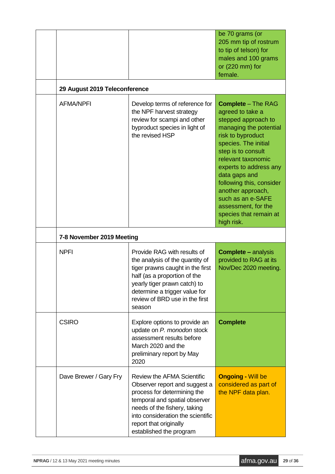| 29 August 2019 Teleconference |                                                                                                                                                                                                                                                              | be 70 grams (or<br>205 mm tip of rostrum<br>to tip of telson) for<br>males and 100 grams<br>or $(220$ mm) for<br>female.                                                                                                                                                                                                                                                |
|-------------------------------|--------------------------------------------------------------------------------------------------------------------------------------------------------------------------------------------------------------------------------------------------------------|-------------------------------------------------------------------------------------------------------------------------------------------------------------------------------------------------------------------------------------------------------------------------------------------------------------------------------------------------------------------------|
| <b>AFMA/NPFI</b>              | Develop terms of reference for<br>the NPF harvest strategy<br>review for scampi and other<br>byproduct species in light of<br>the revised HSP                                                                                                                | <b>Complete</b> – The RAG<br>agreed to take a<br>stepped approach to<br>managing the potential<br>risk to byproduct<br>species. The initial<br>step is to consult<br>relevant taxonomic<br>experts to address any<br>data gaps and<br>following this, consider<br>another approach,<br>such as an e-SAFE<br>assessment, for the<br>species that remain at<br>high risk. |
| 7-8 November 2019 Meeting     |                                                                                                                                                                                                                                                              |                                                                                                                                                                                                                                                                                                                                                                         |
| <b>NPFI</b>                   | Provide RAG with results of<br>the analysis of the quantity of<br>tiger prawns caught in the first<br>half (as a proportion of the<br>yearly tiger prawn catch) to<br>determine a trigger value for<br>review of BRD use in the first<br>season              | <b>Complete – analysis</b><br>provided to RAG at its<br>Nov/Dec 2020 meeting.                                                                                                                                                                                                                                                                                           |
| <b>CSIRO</b>                  | Explore options to provide an<br>update on P. monodon stock<br>assessment results before<br>March 2020 and the<br>preliminary report by May<br>2020                                                                                                          | <b>Complete</b>                                                                                                                                                                                                                                                                                                                                                         |
| Dave Brewer / Gary Fry        | <b>Review the AFMA Scientific</b><br>Observer report and suggest a<br>process for determining the<br>temporal and spatial observer<br>needs of the fishery, taking<br>into consideration the scientific<br>report that originally<br>established the program | <b>Ongoing - Will be</b><br>considered as part of<br>the NPF data plan.                                                                                                                                                                                                                                                                                                 |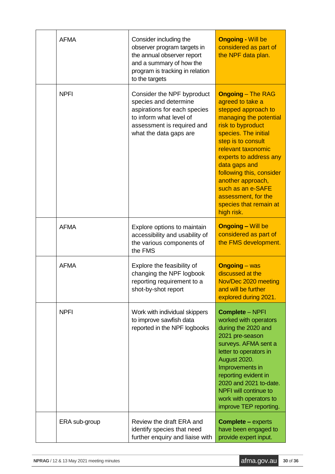| <b>AFMA</b>   | Consider including the<br>observer program targets in<br>the annual observer report<br>and a summary of how the<br>program is tracking in relation<br>to the targets   | <b>Ongoing - Will be</b><br>considered as part of<br>the NPF data plan.                                                                                                                                                                                                                                                                                                |
|---------------|------------------------------------------------------------------------------------------------------------------------------------------------------------------------|------------------------------------------------------------------------------------------------------------------------------------------------------------------------------------------------------------------------------------------------------------------------------------------------------------------------------------------------------------------------|
| <b>NPFI</b>   | Consider the NPF byproduct<br>species and determine<br>aspirations for each species<br>to inform what level of<br>assessment is required and<br>what the data gaps are | <b>Ongoing - The RAG</b><br>agreed to take a<br>stepped approach to<br>managing the potential<br>risk to byproduct<br>species. The initial<br>step is to consult<br>relevant taxonomic<br>experts to address any<br>data gaps and<br>following this, consider<br>another approach,<br>such as an e-SAFE<br>assessment, for the<br>species that remain at<br>high risk. |
| <b>AFMA</b>   | Explore options to maintain<br>accessibility and usability of<br>the various components of<br>the FMS                                                                  | <b>Ongoing - Will be</b><br>considered as part of<br>the FMS development.                                                                                                                                                                                                                                                                                              |
| <b>AFMA</b>   | Explore the feasibility of<br>changing the NPF logbook<br>reporting requirement to a<br>shot-by-shot report                                                            | <b>Ongoing</b> – was<br>discussed at the<br>Nov/Dec 2020 meeting<br>and will be further<br>explored during 2021.                                                                                                                                                                                                                                                       |
| <b>NPFI</b>   | Work with individual skippers<br>to improve sawfish data<br>reported in the NPF logbooks                                                                               | <b>Complete - NPFI</b><br>worked with operators<br>during the 2020 and<br>2021 pre-season<br>surveys. AFMA sent a<br>letter to operators in<br>August 2020.<br>Improvements in<br>reporting evident in<br>2020 and 2021 to-date.<br>NPFI will continue to<br>work with operators to<br>improve TEP reporting.                                                          |
| ERA sub-group | Review the draft ERA and<br>identify species that need<br>further enquiry and liaise with                                                                              | <b>Complete – experts</b><br>have been engaged to<br>provide expert input.                                                                                                                                                                                                                                                                                             |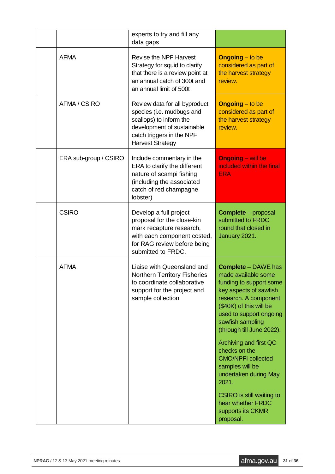|                       | experts to try and fill any<br>data gaps                                                                                                                                    |                                                                                                                                                                                                                                                                                                                                                                                                                                                         |
|-----------------------|-----------------------------------------------------------------------------------------------------------------------------------------------------------------------------|---------------------------------------------------------------------------------------------------------------------------------------------------------------------------------------------------------------------------------------------------------------------------------------------------------------------------------------------------------------------------------------------------------------------------------------------------------|
| <b>AFMA</b>           | <b>Revise the NPF Harvest</b><br>Strategy for squid to clarify<br>that there is a review point at<br>an annual catch of 300t and<br>an annual limit of 500t                 | <b>Ongoing</b> – to be<br>considered as part of<br>the harvest strategy<br>review.                                                                                                                                                                                                                                                                                                                                                                      |
| AFMA / CSIRO          | Review data for all byproduct<br>species (i.e. mudbugs and<br>scallops) to inform the<br>development of sustainable<br>catch triggers in the NPF<br><b>Harvest Strategy</b> | <b>Ongoing</b> – to be<br>considered as part of<br>the harvest strategy<br>review.                                                                                                                                                                                                                                                                                                                                                                      |
| ERA sub-group / CSIRO | Include commentary in the<br>ERA to clarify the different<br>nature of scampi fishing<br>(including the associated<br>catch of red champagne<br>lobster)                    | <b>Ongoing - will be</b><br>included within the final<br><b>ERA</b>                                                                                                                                                                                                                                                                                                                                                                                     |
| <b>CSIRO</b>          | Develop a full project<br>proposal for the close-kin<br>mark recapture research,<br>with each component costed,<br>for RAG review before being<br>submitted to FRDC.        | <b>Complete</b> – proposal<br>submitted to FRDC<br>round that closed in<br>January 2021.                                                                                                                                                                                                                                                                                                                                                                |
| <b>AFMA</b>           | Liaise with Queensland and<br><b>Northern Territory Fisheries</b><br>to coordinate collaborative<br>support for the project and<br>sample collection                        | <b>Complete - DAWE has</b><br>made available some<br>funding to support some<br>key aspects of sawfish<br>research. A component<br>(\$40K) of this will be<br>used to support ongoing<br>sawfish sampling<br>(through till June 2022).<br>Archiving and first QC<br>checks on the<br><b>CMO/NPFI collected</b><br>samples will be<br>undertaken during May<br>2021.<br>CSIRO is still waiting to<br>hear whether FRDC<br>supports its CKMR<br>proposal. |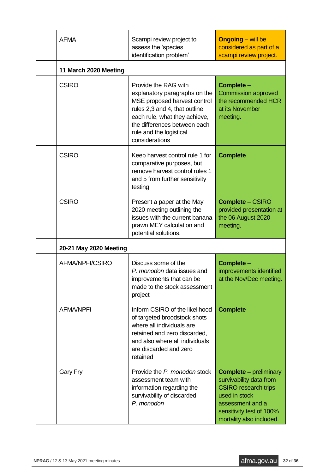| <b>AFMA</b>            | Scampi review project to<br>assess the 'species<br>identification problem'                                                                                                                                                           | <b>Ongoing</b> – will be<br>considered as part of a<br>scampi review project.                                                                                                        |
|------------------------|--------------------------------------------------------------------------------------------------------------------------------------------------------------------------------------------------------------------------------------|--------------------------------------------------------------------------------------------------------------------------------------------------------------------------------------|
| 11 March 2020 Meeting  |                                                                                                                                                                                                                                      |                                                                                                                                                                                      |
| <b>CSIRO</b>           | Provide the RAG with<br>explanatory paragraphs on the<br>MSE proposed harvest control<br>rules 2,3 and 4, that outline<br>each rule, what they achieve,<br>the differences between each<br>rule and the logistical<br>considerations | Complete -<br><b>Commission approved</b><br>the recommended HCR<br>at its November<br>meeting.                                                                                       |
| <b>CSIRO</b>           | Keep harvest control rule 1 for<br>comparative purposes, but<br>remove harvest control rules 1<br>and 5 from further sensitivity<br>testing.                                                                                         | <b>Complete</b>                                                                                                                                                                      |
| <b>CSIRO</b>           | Present a paper at the May<br>2020 meeting outlining the<br>issues with the current banana<br>prawn MEY calculation and<br>potential solutions.                                                                                      | <b>Complete – CSIRO</b><br>provided presentation at<br>the 06 August 2020<br>meeting.                                                                                                |
| 20-21 May 2020 Meeting |                                                                                                                                                                                                                                      |                                                                                                                                                                                      |
| AFMA/NPFI/CSIRO        | Discuss some of the<br>P. monodon data issues and<br>improvements that can be<br>made to the stock assessment<br>project                                                                                                             | Complete -<br>improvements identified<br>at the Nov/Dec meeting.                                                                                                                     |
| <b>AFMA/NPFI</b>       | Inform CSIRO of the likelihood<br>of targeted broodstock shots<br>where all individuals are<br>retained and zero discarded,<br>and also where all individuals<br>are discarded and zero<br>retained                                  | <b>Complete</b>                                                                                                                                                                      |
| <b>Gary Fry</b>        | Provide the P. monodon stock<br>assessment team with<br>information regarding the<br>survivability of discarded<br>P. monodon                                                                                                        | <b>Complete – preliminary</b><br>survivability data from<br><b>CSIRO</b> research trips<br>used in stock<br>assessment and a<br>sensitivity test of 100%<br>mortality also included. |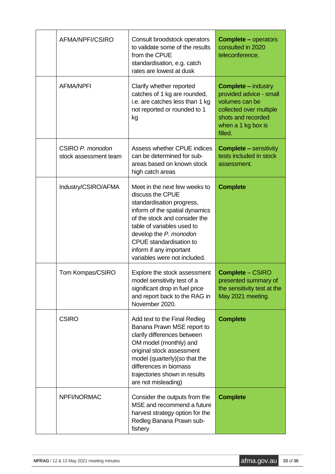| AFMA/NPFI/CSIRO                           | Consult broodstock operators<br>to validate some of the results<br>from the CPUE<br>standardisation, e.g. catch<br>rates are lowest at dusk                                                                                                                                                     | <b>Complete – operators</b><br>consulted in 2020<br>teleconference.                                                                                       |
|-------------------------------------------|-------------------------------------------------------------------------------------------------------------------------------------------------------------------------------------------------------------------------------------------------------------------------------------------------|-----------------------------------------------------------------------------------------------------------------------------------------------------------|
| <b>AFMA/NPFI</b>                          | Clarify whether reported<br>catches of 1 kg are rounded,<br>i.e. are catches less than 1 kg<br>not reported or rounded to 1<br>kg                                                                                                                                                               | <b>Complete – industry</b><br>provided advice - small<br>volumes can be<br>collected over multiple<br>shots and recorded<br>when a 1 kg box is<br>filled. |
| CSIRO P. monodon<br>stock assessment team | <b>Assess whether CPUE indices</b><br>can be determined for sub-<br>areas based on known stock<br>high catch areas                                                                                                                                                                              | <b>Complete – sensitivity</b><br>tests included in stock<br>assessment.                                                                                   |
| Industry/CSIRO/AFMA                       | Meet in the next few weeks to<br>discuss the CPUE<br>standardisation progress,<br>inform of the spatial dynamics<br>of the stock and consider the<br>table of variables used to<br>develop the P. monodon<br>CPUE standardisation to<br>inform if any important<br>variables were not included. | <b>Complete</b>                                                                                                                                           |
| Tom Kompas/CSIRO                          | Explore the stock assessment<br>model sensitivity test of a<br>significant drop in fuel price<br>and report back to the RAG in<br>November 2020.                                                                                                                                                | <b>Complete - CSIRO</b><br>presented summary of<br>the sensitivity test at the<br>May 2021 meeting.                                                       |
| <b>CSIRO</b>                              | Add text to the Final Redleg<br>Banana Prawn MSE report to<br>clarify differences between<br>OM model (monthly) and<br>original stock assessment<br>model (quarterly) (so that the<br>differences in biomass<br>trajectories shown in results<br>are not misleading)                            | <b>Complete</b>                                                                                                                                           |
| NPFI/NORMAC                               | Consider the outputs from the<br>MSE and recommend a future<br>harvest strategy option for the<br>Redleg Banana Prawn sub-<br>fishery                                                                                                                                                           | <b>Complete</b>                                                                                                                                           |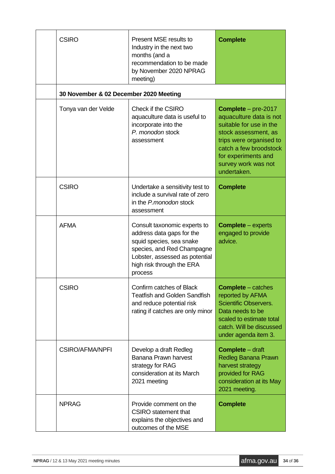| <b>CSIRO</b>                           | Present MSE results to<br>Industry in the next two<br>months (and a<br>recommendation to be made<br>by November 2020 NPRAG<br>meeting)                                                        | <b>Complete</b>                                                                                                                                                                                                              |
|----------------------------------------|-----------------------------------------------------------------------------------------------------------------------------------------------------------------------------------------------|------------------------------------------------------------------------------------------------------------------------------------------------------------------------------------------------------------------------------|
| 30 November & 02 December 2020 Meeting |                                                                                                                                                                                               |                                                                                                                                                                                                                              |
| Tonya van der Velde                    | Check if the CSIRO<br>aquaculture data is useful to<br>incorporate into the<br>P. monodon stock<br>assessment                                                                                 | <b>Complete</b> $-$ pre-2017<br>aquaculture data is not<br>suitable for use in the<br>stock assessment, as<br>trips were organised to<br>catch a few broodstock<br>for experiments and<br>survey work was not<br>undertaken. |
| <b>CSIRO</b>                           | Undertake a sensitivity test to<br>include a survival rate of zero<br>in the P.monodon stock<br>assessment                                                                                    | <b>Complete</b>                                                                                                                                                                                                              |
| <b>AFMA</b>                            | Consult taxonomic experts to<br>address data gaps for the<br>squid species, sea snake<br>species, and Red Champagne<br>Lobster, assessed as potential<br>high risk through the ERA<br>process | <b>Complete</b> – experts<br>engaged to provide<br>advice.                                                                                                                                                                   |
| <b>CSIRO</b>                           | Confirm catches of Black<br><b>Teatfish and Golden Sandfish</b><br>and reduce potential risk<br>rating if catches are only minor                                                              | <b>Complete</b> - catches<br>reported by AFMA<br><b>Scientific Observers.</b><br>Data needs to be<br>scaled to estimate total<br>catch. Will be discussed<br>under agenda item 3.                                            |
| <b>CSIRO/AFMA/NPFI</b>                 | Develop a draft Redleg<br>Banana Prawn harvest<br>strategy for RAG<br>consideration at its March<br>2021 meeting                                                                              | <b>Complete</b> – draft<br><b>Redleg Banana Prawn</b><br>harvest strategy<br>provided for RAG<br>consideration at its May<br>2021 meeting.                                                                                   |
| <b>NPRAG</b>                           | Provide comment on the<br><b>CSIRO</b> statement that<br>explains the objectives and<br>outcomes of the MSE                                                                                   | <b>Complete</b>                                                                                                                                                                                                              |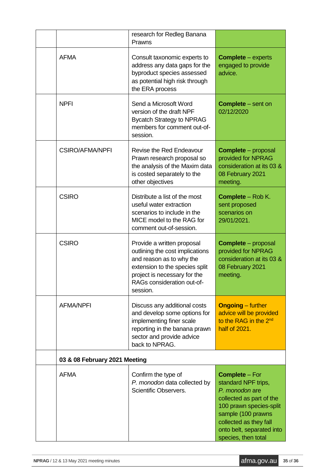|                               | research for Redleg Banana<br>Prawns                                                                                                                                                                  |                                                                                                                                                                                                                           |
|-------------------------------|-------------------------------------------------------------------------------------------------------------------------------------------------------------------------------------------------------|---------------------------------------------------------------------------------------------------------------------------------------------------------------------------------------------------------------------------|
| <b>AFMA</b>                   | Consult taxonomic experts to<br>address any data gaps for the<br>byproduct species assessed<br>as potential high risk through<br>the ERA process                                                      | <b>Complete</b> – experts<br>engaged to provide<br>advice.                                                                                                                                                                |
| <b>NPFI</b>                   | Send a Microsoft Word<br>version of the draft NPF<br><b>Bycatch Strategy to NPRAG</b><br>members for comment out-of-<br>session.                                                                      | <b>Complete</b> – sent on<br>02/12/2020                                                                                                                                                                                   |
| <b>CSIRO/AFMA/NPFI</b>        | <b>Revise the Red Endeavour</b><br>Prawn research proposal so<br>the analysis of the Maxim data<br>is costed separately to the<br>other objectives                                                    | <b>Complete</b> – proposal<br>provided for NPRAG<br>consideration at its 03 &<br>08 February 2021<br>meeting.                                                                                                             |
| <b>CSIRO</b>                  | Distribute a list of the most<br>useful water extraction<br>scenarios to include in the<br>MICE model to the RAG for<br>comment out-of-session.                                                       | <b>Complete - Rob K.</b><br>sent proposed<br>scenarios on<br>29/01/2021.                                                                                                                                                  |
| <b>CSIRO</b>                  | Provide a written proposal<br>outlining the cost implications<br>and reason as to why the<br>extension to the species split<br>project is necessary for the<br>RAGs consideration out-of-<br>session. | <b>Complete</b> - proposal<br>provided for NPRAG<br>consideration at its 03 &<br>08 February 2021<br>meeting.                                                                                                             |
| <b>AFMA/NPFI</b>              | Discuss any additional costs<br>and develop some options for<br>implementing finer scale<br>reporting in the banana prawn<br>sector and provide advice<br>back to NPRAG.                              | <b>Ongoing</b> – further<br>advice will be provided<br>to the RAG in the 2 <sup>nd</sup><br>half of 2021.                                                                                                                 |
| 03 & 08 February 2021 Meeting |                                                                                                                                                                                                       |                                                                                                                                                                                                                           |
| <b>AFMA</b>                   | Confirm the type of<br>P. monodon data collected by<br>Scientific Observers.                                                                                                                          | <b>Complete - For</b><br>standard NPF trips,<br>P. monodon are<br>collected as part of the<br>100 prawn species-split<br>sample (100 prawns<br>collected as they fall<br>onto belt, separated into<br>species, then total |